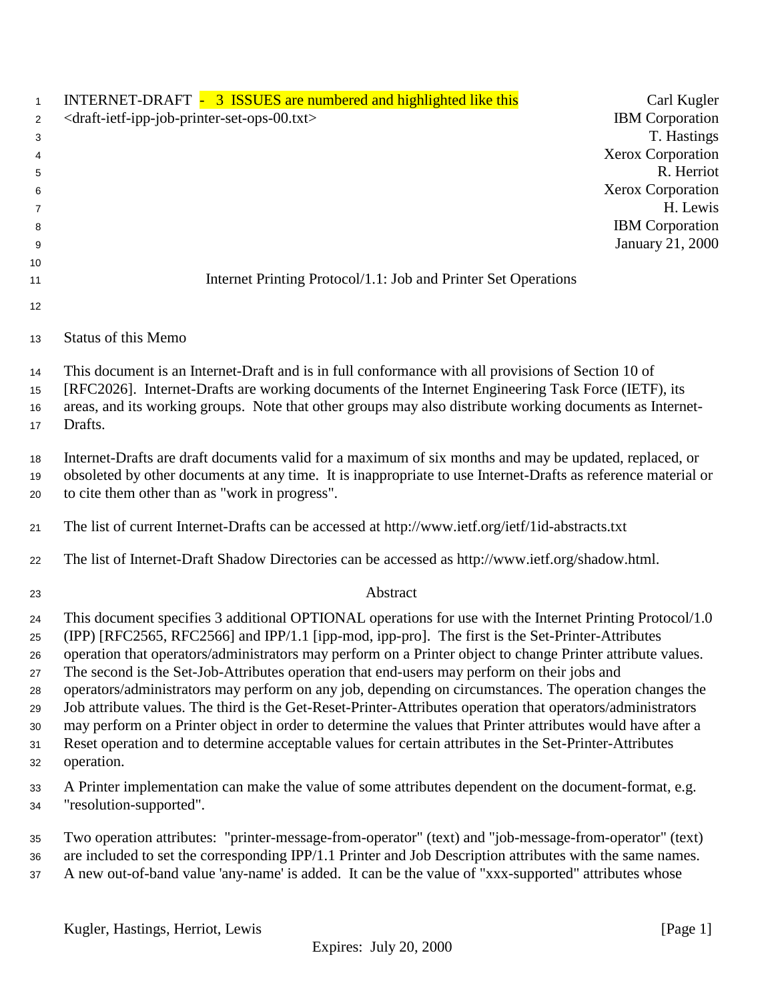| $\mathbf{1}$                                           | INTERNET-DRAFT - 3 ISSUES are numbered and highlighted like this                                                                                                                                                                                                                                                                                                                                                                                                                                                                                                                                                                                                                                                                                                                                                                                                                            | Carl Kugler                        |
|--------------------------------------------------------|---------------------------------------------------------------------------------------------------------------------------------------------------------------------------------------------------------------------------------------------------------------------------------------------------------------------------------------------------------------------------------------------------------------------------------------------------------------------------------------------------------------------------------------------------------------------------------------------------------------------------------------------------------------------------------------------------------------------------------------------------------------------------------------------------------------------------------------------------------------------------------------------|------------------------------------|
| 2                                                      | <draft-ietf-ipp-job-printer-set-ops-00.txt></draft-ietf-ipp-job-printer-set-ops-00.txt>                                                                                                                                                                                                                                                                                                                                                                                                                                                                                                                                                                                                                                                                                                                                                                                                     | <b>IBM</b> Corporation             |
| 3                                                      |                                                                                                                                                                                                                                                                                                                                                                                                                                                                                                                                                                                                                                                                                                                                                                                                                                                                                             | T. Hastings                        |
| 4                                                      |                                                                                                                                                                                                                                                                                                                                                                                                                                                                                                                                                                                                                                                                                                                                                                                                                                                                                             | <b>Xerox Corporation</b>           |
| 5                                                      |                                                                                                                                                                                                                                                                                                                                                                                                                                                                                                                                                                                                                                                                                                                                                                                                                                                                                             | R. Herriot                         |
| 6                                                      |                                                                                                                                                                                                                                                                                                                                                                                                                                                                                                                                                                                                                                                                                                                                                                                                                                                                                             | <b>Xerox Corporation</b>           |
| 7<br>8                                                 |                                                                                                                                                                                                                                                                                                                                                                                                                                                                                                                                                                                                                                                                                                                                                                                                                                                                                             | H. Lewis<br><b>IBM</b> Corporation |
| 9                                                      |                                                                                                                                                                                                                                                                                                                                                                                                                                                                                                                                                                                                                                                                                                                                                                                                                                                                                             | January 21, 2000                   |
| 10                                                     |                                                                                                                                                                                                                                                                                                                                                                                                                                                                                                                                                                                                                                                                                                                                                                                                                                                                                             |                                    |
| 11                                                     | Internet Printing Protocol/1.1: Job and Printer Set Operations                                                                                                                                                                                                                                                                                                                                                                                                                                                                                                                                                                                                                                                                                                                                                                                                                              |                                    |
| 12                                                     |                                                                                                                                                                                                                                                                                                                                                                                                                                                                                                                                                                                                                                                                                                                                                                                                                                                                                             |                                    |
| 13                                                     | <b>Status of this Memo</b>                                                                                                                                                                                                                                                                                                                                                                                                                                                                                                                                                                                                                                                                                                                                                                                                                                                                  |                                    |
| 14<br>15<br>16<br>17                                   | This document is an Internet-Draft and is in full conformance with all provisions of Section 10 of<br>[RFC2026]. Internet-Drafts are working documents of the Internet Engineering Task Force (IETF), its<br>areas, and its working groups. Note that other groups may also distribute working documents as Internet-<br>Drafts.                                                                                                                                                                                                                                                                                                                                                                                                                                                                                                                                                            |                                    |
| 18<br>19<br>20                                         | Internet-Drafts are draft documents valid for a maximum of six months and may be updated, replaced, or<br>obsoleted by other documents at any time. It is inappropriate to use Internet-Drafts as reference material or<br>to cite them other than as "work in progress".                                                                                                                                                                                                                                                                                                                                                                                                                                                                                                                                                                                                                   |                                    |
| 21                                                     | The list of current Internet-Drafts can be accessed at http://www.ietf.org/ietf/1id-abstracts.txt                                                                                                                                                                                                                                                                                                                                                                                                                                                                                                                                                                                                                                                                                                                                                                                           |                                    |
| 22                                                     | The list of Internet-Draft Shadow Directories can be accessed as http://www.ietf.org/shadow.html.                                                                                                                                                                                                                                                                                                                                                                                                                                                                                                                                                                                                                                                                                                                                                                                           |                                    |
| 23                                                     | Abstract                                                                                                                                                                                                                                                                                                                                                                                                                                                                                                                                                                                                                                                                                                                                                                                                                                                                                    |                                    |
| 24<br>25<br>26<br>27<br>28<br>29<br>$30\,$<br>31<br>32 | This document specifies 3 additional OPTIONAL operations for use with the Internet Printing Protocol/1.0<br>(IPP) [RFC2565, RFC2566] and IPP/1.1 [ipp-mod, ipp-pro]. The first is the Set-Printer-Attributes<br>operation that operators/administrators may perform on a Printer object to change Printer attribute values.<br>The second is the Set-Job-Attributes operation that end-users may perform on their jobs and<br>operators/administrators may perform on any job, depending on circumstances. The operation changes the<br>Job attribute values. The third is the Get-Reset-Printer-Attributes operation that operators/administrators<br>may perform on a Printer object in order to determine the values that Printer attributes would have after a<br>Reset operation and to determine acceptable values for certain attributes in the Set-Printer-Attributes<br>operation. |                                    |
| 33<br>34                                               | A Printer implementation can make the value of some attributes dependent on the document-format, e.g.<br>"resolution-supported".                                                                                                                                                                                                                                                                                                                                                                                                                                                                                                                                                                                                                                                                                                                                                            |                                    |
| 35<br>36<br>37                                         | Two operation attributes: "printer-message-from-operator" (text) and "job-message-from-operator" (text)<br>are included to set the corresponding IPP/1.1 Printer and Job Description attributes with the same names.<br>A new out-of-band value 'any-name' is added. It can be the value of "xxx-supported" attributes whose                                                                                                                                                                                                                                                                                                                                                                                                                                                                                                                                                                |                                    |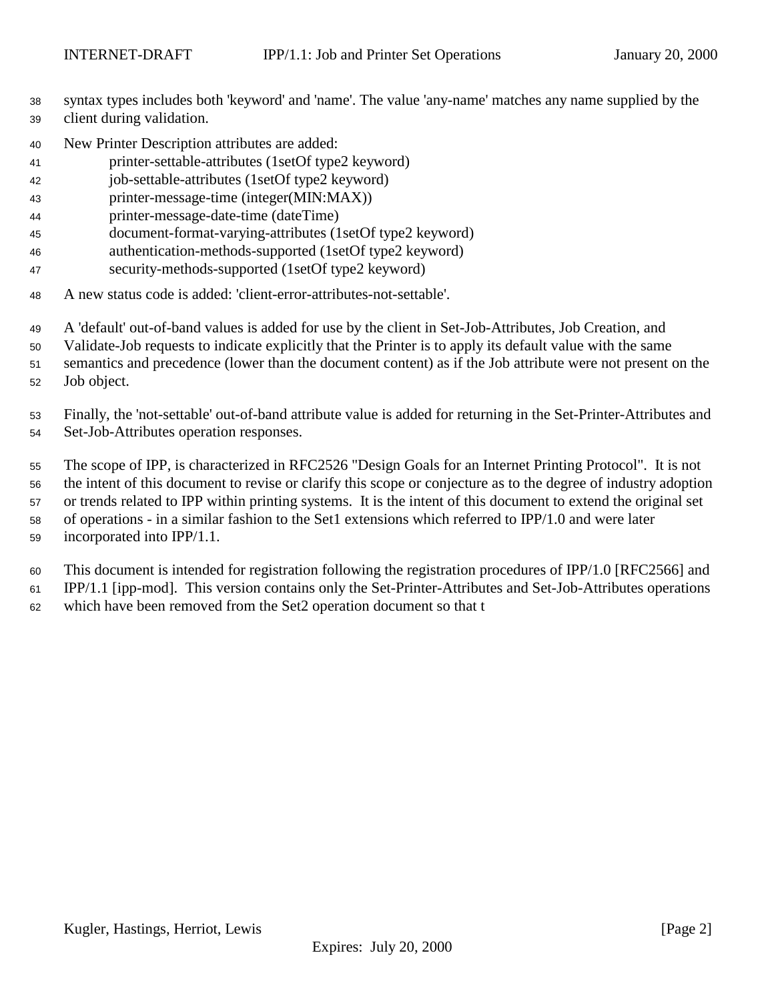- syntax types includes both 'keyword' and 'name'. The value 'any-name' matches any name supplied by the client during validation.
- New Printer Description attributes are added:
- printer-settable-attributes (1setOf type2 keyword)
- job-settable-attributes (1setOf type2 keyword)
- printer-message-time (integer(MIN:MAX))
- printer-message-date-time (dateTime)
- document-format-varying-attributes (1setOf type2 keyword)
- authentication-methods-supported (1setOf type2 keyword)
- security-methods-supported (1setOf type2 keyword)
- A new status code is added: 'client-error-attributes-not-settable'.
- A 'default' out-of-band values is added for use by the client in Set-Job-Attributes, Job Creation, and
- Validate-Job requests to indicate explicitly that the Printer is to apply its default value with the same
- semantics and precedence (lower than the document content) as if the Job attribute were not present on the
- Job object.
- Finally, the 'not-settable' out-of-band attribute value is added for returning in the Set-Printer-Attributes and Set-Job-Attributes operation responses.
- The scope of IPP, is characterized in RFC2526 "Design Goals for an Internet Printing Protocol". It is not the intent of this document to revise or clarify this scope or conjecture as to the degree of industry adoption or trends related to IPP within printing systems. It is the intent of this document to extend the original set of operations - in a similar fashion to the Set1 extensions which referred to IPP/1.0 and were later incorporated into IPP/1.1.
- This document is intended for registration following the registration procedures of IPP/1.0 [RFC2566] and
- IPP/1.1 [ipp-mod]. This version contains only the Set-Printer-Attributes and Set-Job-Attributes operations
- which have been removed from the Set2 operation document so that t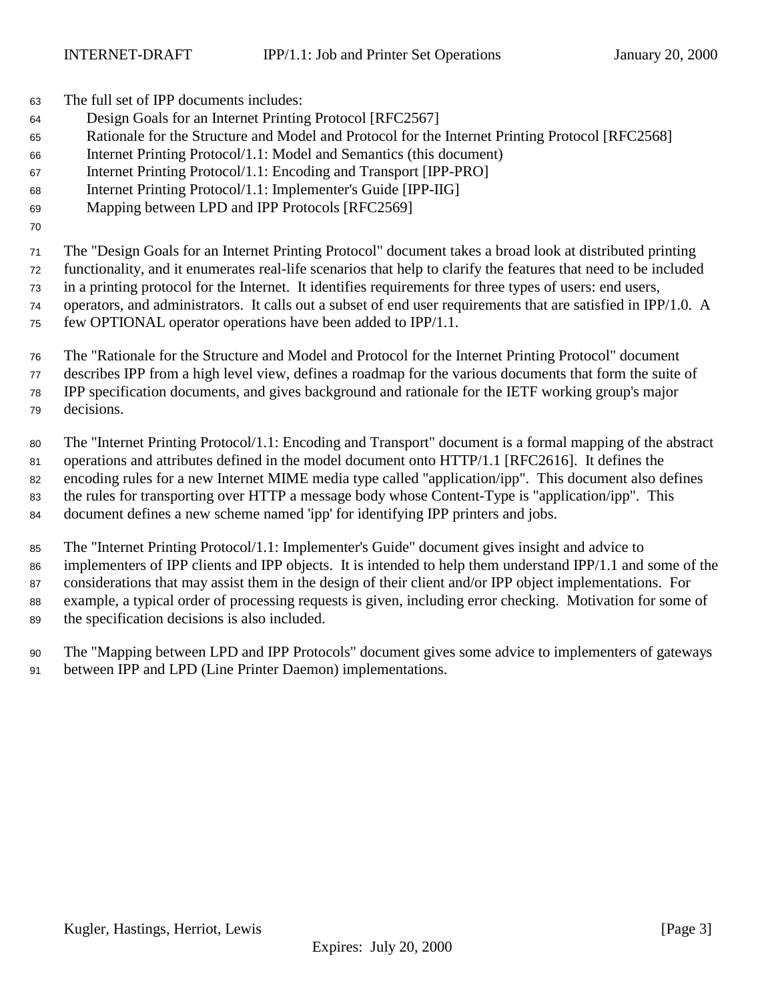The full set of IPP documents includes:

- Design Goals for an Internet Printing Protocol [RFC2567]
- Rationale for the Structure and Model and Protocol for the Internet Printing Protocol [RFC2568]
- Internet Printing Protocol/1.1: Model and Semantics (this document)
- Internet Printing Protocol/1.1: Encoding and Transport [IPP-PRO]
- Internet Printing Protocol/1.1: Implementer's Guide [IPP-IIG]
- Mapping between LPD and IPP Protocols [RFC2569]
- 

 The "Design Goals for an Internet Printing Protocol" document takes a broad look at distributed printing functionality, and it enumerates real-life scenarios that help to clarify the features that need to be included

in a printing protocol for the Internet. It identifies requirements for three types of users: end users,

operators, and administrators. It calls out a subset of end user requirements that are satisfied in IPP/1.0. A

few OPTIONAL operator operations have been added to IPP/1.1.

 The "Rationale for the Structure and Model and Protocol for the Internet Printing Protocol" document describes IPP from a high level view, defines a roadmap for the various documents that form the suite of IPP specification documents, and gives background and rationale for the IETF working group's major decisions.

 The "Internet Printing Protocol/1.1: Encoding and Transport" document is a formal mapping of the abstract operations and attributes defined in the model document onto HTTP/1.1 [RFC2616]. It defines the encoding rules for a new Internet MIME media type called "application/ipp". This document also defines the rules for transporting over HTTP a message body whose Content-Type is "application/ipp". This document defines a new scheme named 'ipp' for identifying IPP printers and jobs.

 The "Internet Printing Protocol/1.1: Implementer's Guide" document gives insight and advice to implementers of IPP clients and IPP objects. It is intended to help them understand IPP/1.1 and some of the considerations that may assist them in the design of their client and/or IPP object implementations. For example, a typical order of processing requests is given, including error checking. Motivation for some of the specification decisions is also included.

 The "Mapping between LPD and IPP Protocols" document gives some advice to implementers of gateways between IPP and LPD (Line Printer Daemon) implementations.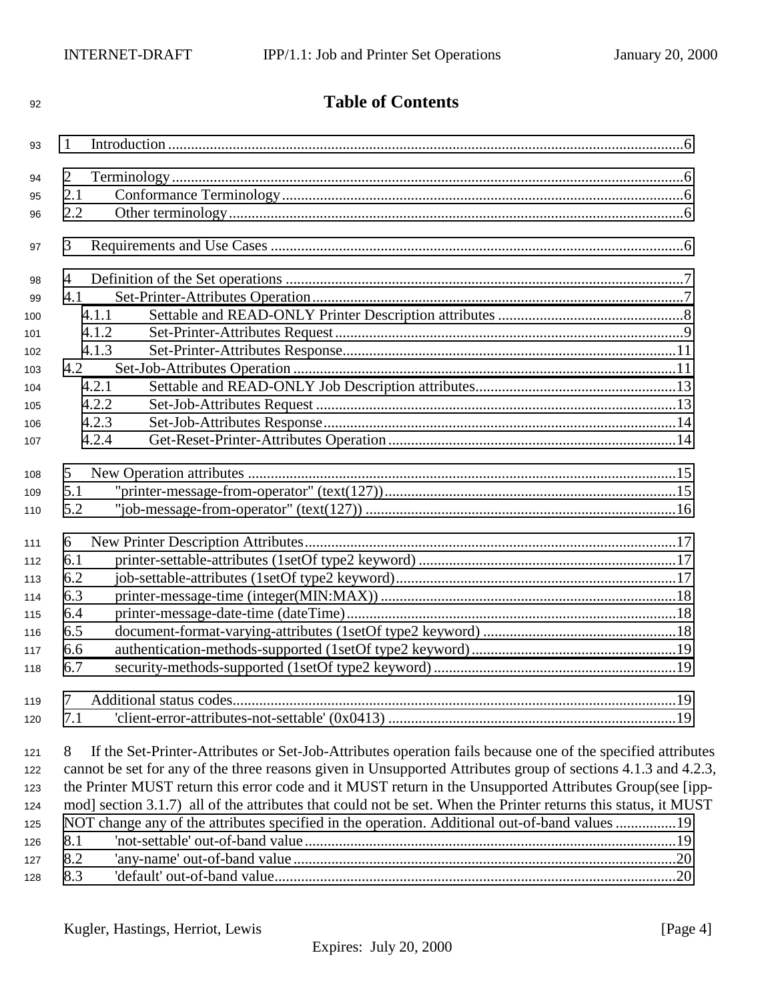| 92  | <b>Table of Contents</b>                                                                                         |  |
|-----|------------------------------------------------------------------------------------------------------------------|--|
| 93  | 1                                                                                                                |  |
|     |                                                                                                                  |  |
| 94  | $\overline{2}$                                                                                                   |  |
| 95  | 2.1                                                                                                              |  |
| 96  | 2.2                                                                                                              |  |
| 97  | 3                                                                                                                |  |
| 98  | 4                                                                                                                |  |
| 99  | 4.1                                                                                                              |  |
| 100 | 4.1.1                                                                                                            |  |
| 101 | 4.1.2                                                                                                            |  |
| 102 | 4.1.3                                                                                                            |  |
| 103 | 4.2                                                                                                              |  |
| 104 | 4.2.1                                                                                                            |  |
| 105 | 4.2.2                                                                                                            |  |
| 106 | 4.2.3                                                                                                            |  |
| 107 | 4.2.4                                                                                                            |  |
| 108 | 5                                                                                                                |  |
| 109 | 5.1                                                                                                              |  |
| 110 | 5.2                                                                                                              |  |
| 111 | 6                                                                                                                |  |
| 112 | 6.1                                                                                                              |  |
| 113 | 6.2                                                                                                              |  |
| 114 | 6.3                                                                                                              |  |
| 115 | 6.4                                                                                                              |  |
| 116 | 6.5                                                                                                              |  |
| 117 | 6.6                                                                                                              |  |
| 118 | 6.7                                                                                                              |  |
| 119 | 7                                                                                                                |  |
| 120 | 7.1                                                                                                              |  |
| 121 | If the Set-Printer-Attributes or Set-Job-Attributes operation fails because one of the specified attributes<br>8 |  |
| 122 | cannot be set for any of the three reasons given in Unsupported Attributes group of sections 4.1.3 and 4.2.3,    |  |
| 123 | the Printer MUST return this error code and it MUST return in the Unsupported Attributes Group(see [ipp-         |  |
| 124 | mod] section 3.1.7) all of the attributes that could not be set. When the Printer returns this status, it MUST   |  |
| 125 | NOT change any of the attributes specified in the operation. Additional out-of-band values 19                    |  |
| 126 | 8.1                                                                                                              |  |
| 127 | 8.2                                                                                                              |  |
| 128 | 8.3                                                                                                              |  |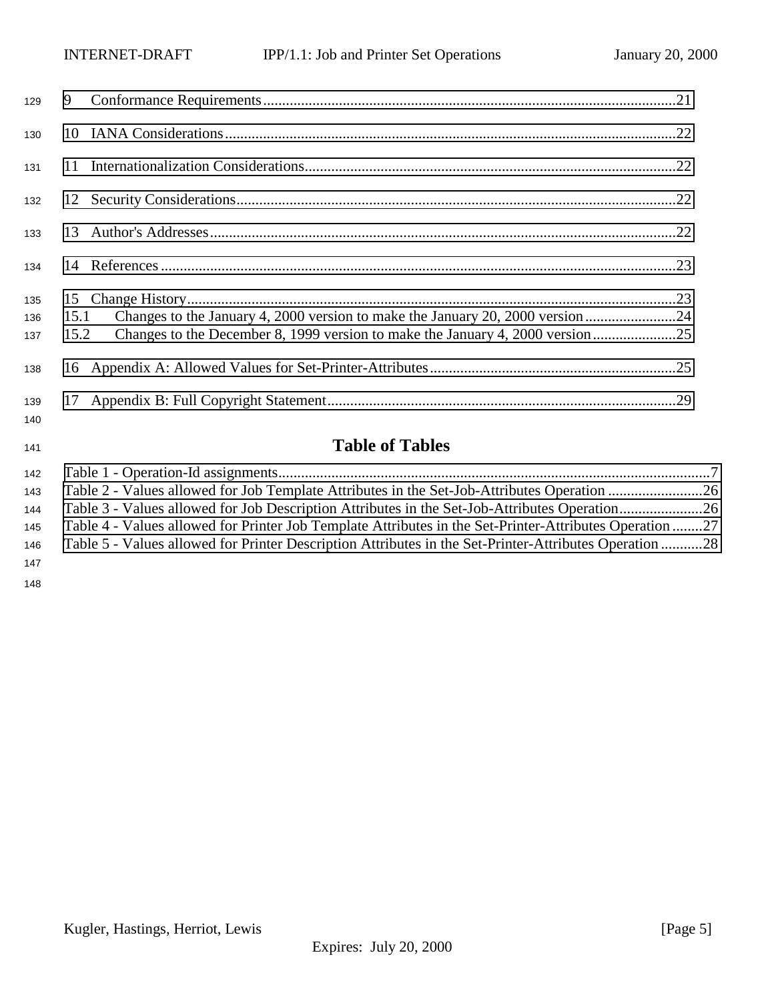| 129        | 9    |                                                                             |  |
|------------|------|-----------------------------------------------------------------------------|--|
| 130        |      |                                                                             |  |
| 131        |      |                                                                             |  |
| 132        |      |                                                                             |  |
| 133        |      |                                                                             |  |
| 134        |      |                                                                             |  |
| 135<br>136 | 15.1 |                                                                             |  |
| 137        | 15.2 | Changes to the December 8, 1999 version to make the January 4, 2000 version |  |
| 138        |      |                                                                             |  |
| 139<br>140 |      |                                                                             |  |
| 141        |      | <b>Table of Tables</b>                                                      |  |
| 142        |      |                                                                             |  |

|     | 145 Table 4 - Values allowed for Printer Job Template Attributes in the Set-Printer-Attributes Operation 27 |  |
|-----|-------------------------------------------------------------------------------------------------------------|--|
|     | 146 Table 5 - Values allowed for Printer Description Attributes in the Set-Printer-Attributes Operation 28  |  |
| 147 |                                                                                                             |  |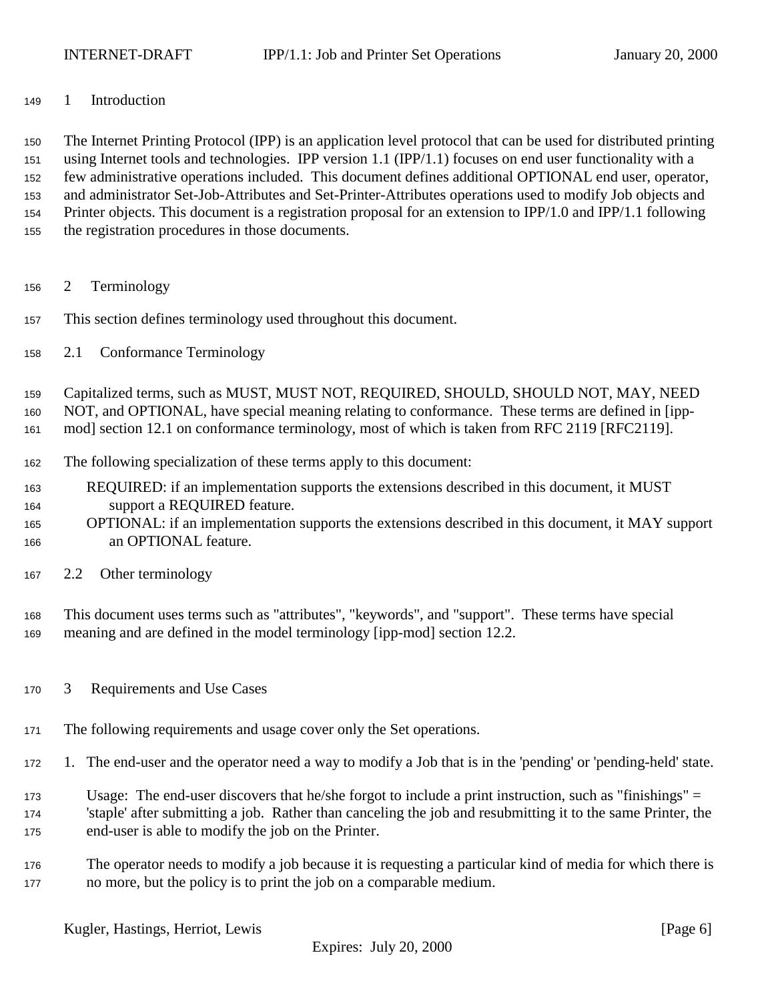<span id="page-5-0"></span>1 Introduction

 The Internet Printing Protocol (IPP) is an application level protocol that can be used for distributed printing using Internet tools and technologies. IPP version 1.1 (IPP/1.1) focuses on end user functionality with a few administrative operations included. This document defines additional OPTIONAL end user, operator, and administrator Set-Job-Attributes and Set-Printer-Attributes operations used to modify Job objects and Printer objects. This document is a registration proposal for an extension to IPP/1.0 and IPP/1.1 following the registration procedures in those documents.

- 2 Terminology
- This section defines terminology used throughout this document.
- 2.1 Conformance Terminology

Capitalized terms, such as MUST, MUST NOT, REQUIRED, SHOULD, SHOULD NOT, MAY, NEED

NOT, and OPTIONAL, have special meaning relating to conformance. These terms are defined in [ipp-

mod] section 12.1 on conformance terminology, most of which is taken from RFC 2119 [RFC2119].

- The following specialization of these terms apply to this document:
- REQUIRED: if an implementation supports the extensions described in this document, it MUST support a REQUIRED feature.
- OPTIONAL: if an implementation supports the extensions described in this document, it MAY support an OPTIONAL feature.
- 2.2 Other terminology

 This document uses terms such as "attributes", "keywords", and "support". These terms have special meaning and are defined in the model terminology [ipp-mod] section 12.2.

- 3 Requirements and Use Cases
- The following requirements and usage cover only the Set operations.
- 1. The end-user and the operator need a way to modify a Job that is in the 'pending' or 'pending-held' state.
- Usage: The end-user discovers that he/she forgot to include a print instruction, such as "finishings" = 'staple' after submitting a job. Rather than canceling the job and resubmitting it to the same Printer, the end-user is able to modify the job on the Printer.
- The operator needs to modify a job because it is requesting a particular kind of media for which there is no more, but the policy is to print the job on a comparable medium.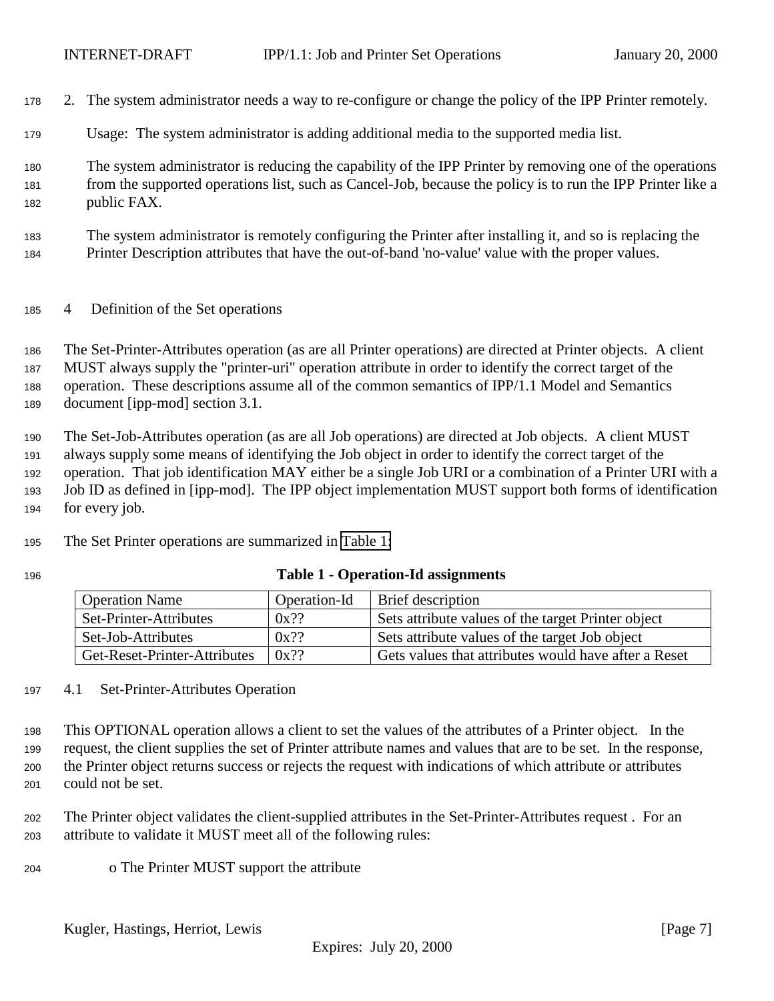- <span id="page-6-0"></span>2. The system administrator needs a way to re-configure or change the policy of the IPP Printer remotely.
- Usage: The system administrator is adding additional media to the supported media list.
- The system administrator is reducing the capability of the IPP Printer by removing one of the operations from the supported operations list, such as Cancel-Job, because the policy is to run the IPP Printer like a public FAX.
- The system administrator is remotely configuring the Printer after installing it, and so is replacing the Printer Description attributes that have the out-of-band 'no-value' value with the proper values.
- 4 Definition of the Set operations

 The Set-Printer-Attributes operation (as are all Printer operations) are directed at Printer objects. A client MUST always supply the "printer-uri" operation attribute in order to identify the correct target of the operation. These descriptions assume all of the common semantics of IPP/1.1 Model and Semantics document [ipp-mod] section 3.1.

 The Set-Job-Attributes operation (as are all Job operations) are directed at Job objects. A client MUST always supply some means of identifying the Job object in order to identify the correct target of the operation. That job identification MAY either be a single Job URI or a combination of a Printer URI with a Job ID as defined in [ipp-mod]. The IPP object implementation MUST support both forms of identification for every job.

- Operation Name Operation-Id Brief description Set-Printer-Attributes  $\vert 0x$ ?? Sets attribute values of the target Printer object Set-Job-Attributes  $\begin{array}{|l|l|}\n\hline\n\end{array}$  0x?? Sets attribute values of the target Job object Get-Reset-Printer-Attributes  $\begin{bmatrix} 0x?? \end{bmatrix}$  Gets values that attributes would have after a Reset
- The Set Printer operations are summarized in Table 1:
- 

# **Table 1 - Operation-Id assignments**

4.1 Set-Printer-Attributes Operation

 This OPTIONAL operation allows a client to set the values of the attributes of a Printer object. In the request, the client supplies the set of Printer attribute names and values that are to be set. In the response, the Printer object returns success or rejects the request with indications of which attribute or attributes could not be set.

 The Printer object validates the client-supplied attributes in the Set-Printer-Attributes request . For an attribute to validate it MUST meet all of the following rules:

o The Printer MUST support the attribute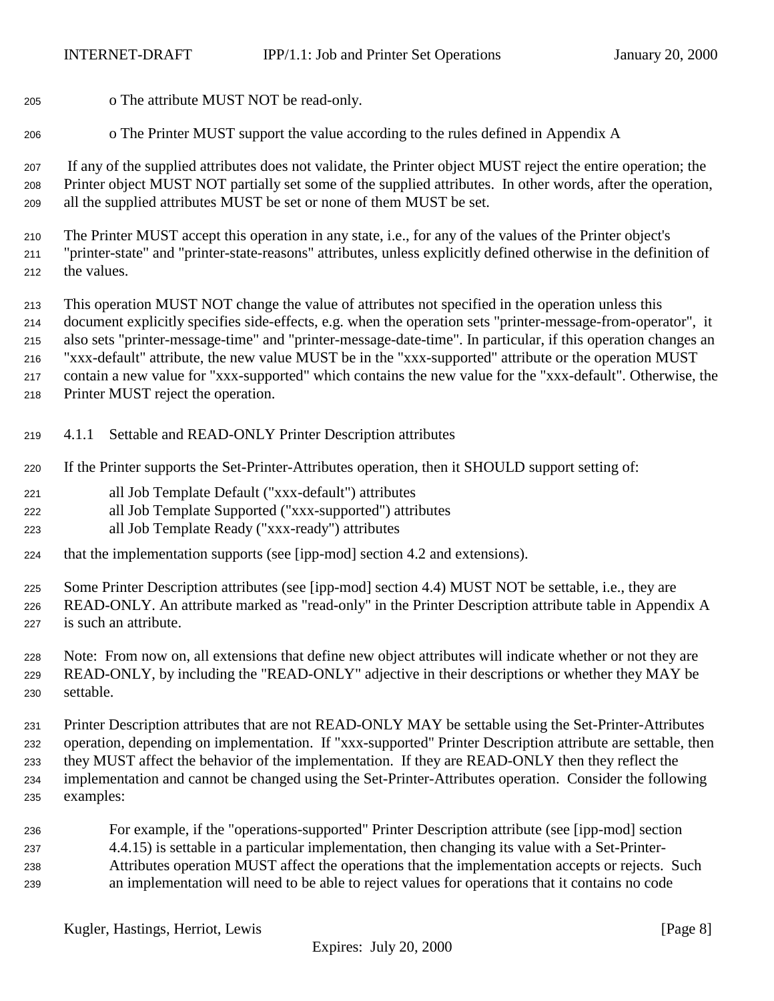- <span id="page-7-0"></span>o The attribute MUST NOT be read-only.
- o The Printer MUST support the value according to the rules defined in Appendix A

 If any of the supplied attributes does not validate, the Printer object MUST reject the entire operation; the Printer object MUST NOT partially set some of the supplied attributes. In other words, after the operation, all the supplied attributes MUST be set or none of them MUST be set.

 The Printer MUST accept this operation in any state, i.e., for any of the values of the Printer object's "printer-state" and "printer-state-reasons" attributes, unless explicitly defined otherwise in the definition of the values.

This operation MUST NOT change the value of attributes not specified in the operation unless this

document explicitly specifies side-effects, e.g. when the operation sets "printer-message-from-operator", it

also sets "printer-message-time" and "printer-message-date-time". In particular, if this operation changes an

"xxx-default" attribute, the new value MUST be in the "xxx-supported" attribute or the operation MUST

contain a new value for "xxx-supported" which contains the new value for the "xxx-default". Otherwise, the

- Printer MUST reject the operation.
- 4.1.1 Settable and READ-ONLY Printer Description attributes
- If the Printer supports the Set-Printer-Attributes operation, then it SHOULD support setting of:
- all Job Template Default ("xxx-default") attributes
- all Job Template Supported ("xxx-supported") attributes
- all Job Template Ready ("xxx-ready") attributes
- that the implementation supports (see [ipp-mod] section 4.2 and extensions).

 Some Printer Description attributes (see [ipp-mod] section 4.4) MUST NOT be settable, i.e., they are READ-ONLY. An attribute marked as "read-only" in the Printer Description attribute table in Appendix A

is such an attribute.

 Note: From now on, all extensions that define new object attributes will indicate whether or not they are READ-ONLY, by including the "READ-ONLY" adjective in their descriptions or whether they MAY be settable.

 Printer Description attributes that are not READ-ONLY MAY be settable using the Set-Printer-Attributes operation, depending on implementation. If "xxx-supported" Printer Description attribute are settable, then they MUST affect the behavior of the implementation. If they are READ-ONLY then they reflect the implementation and cannot be changed using the Set-Printer-Attributes operation. Consider the following examples:

 For example, if the "operations-supported" Printer Description attribute (see [ipp-mod] section 4.4.15) is settable in a particular implementation, then changing its value with a Set-Printer- Attributes operation MUST affect the operations that the implementation accepts or rejects. Such an implementation will need to be able to reject values for operations that it contains no code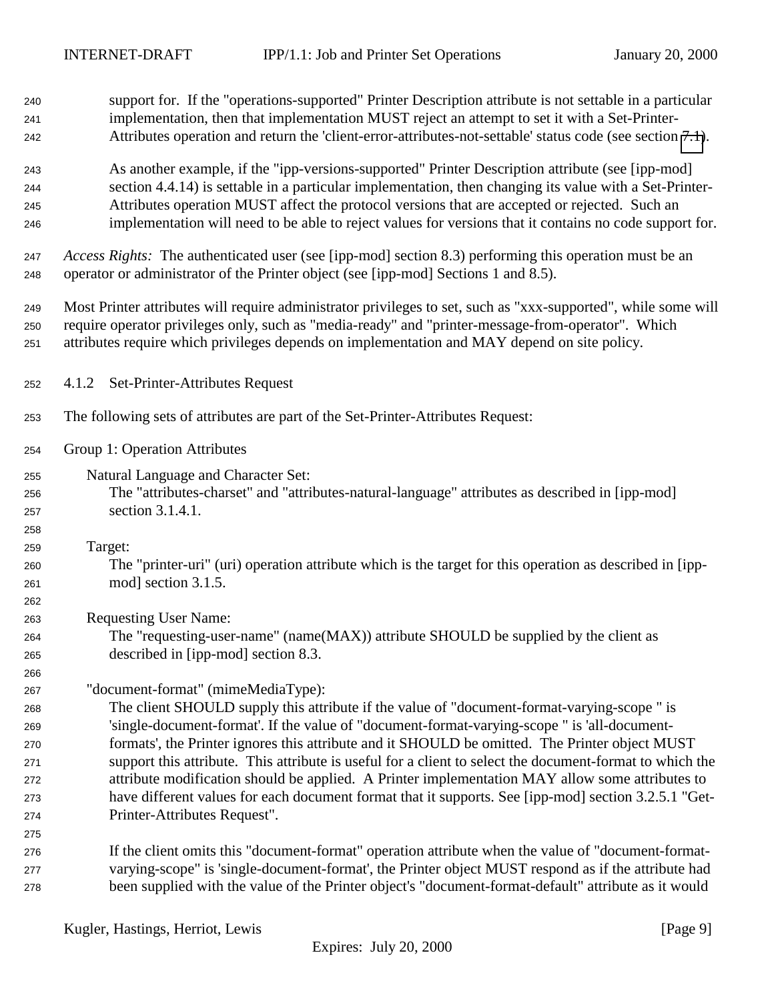<span id="page-8-0"></span>

| 240 | support for. If the "operations-supported" Printer Description attribute is not settable in a particular                                                                                      |
|-----|-----------------------------------------------------------------------------------------------------------------------------------------------------------------------------------------------|
| 241 | implementation, then that implementation MUST reject an attempt to set it with a Set-Printer-                                                                                                 |
| 242 | Attributes operation and return the 'client-error-attributes-not-settable' status code (see section 7.1).                                                                                     |
| 243 | As another example, if the "ipp-versions-supported" Printer Description attribute (see [ipp-mod]                                                                                              |
| 244 | section 4.4.14) is settable in a particular implementation, then changing its value with a Set-Printer-                                                                                       |
| 245 | Attributes operation MUST affect the protocol versions that are accepted or rejected. Such an                                                                                                 |
| 246 | implementation will need to be able to reject values for versions that it contains no code support for.                                                                                       |
| 247 | Access Rights: The authenticated user (see [ipp-mod] section 8.3) performing this operation must be an<br>operator or administrator of the Printer object (see [ipp-mod] Sections 1 and 8.5). |
| 248 |                                                                                                                                                                                               |
| 249 | Most Printer attributes will require administrator privileges to set, such as "xxx-supported", while some will                                                                                |
| 250 | require operator privileges only, such as "media-ready" and "printer-message-from-operator". Which                                                                                            |
| 251 | attributes require which privileges depends on implementation and MAY depend on site policy.                                                                                                  |
| 252 | Set-Printer-Attributes Request<br>4.1.2                                                                                                                                                       |
| 253 | The following sets of attributes are part of the Set-Printer-Attributes Request:                                                                                                              |
| 254 | Group 1: Operation Attributes                                                                                                                                                                 |
| 255 | Natural Language and Character Set:                                                                                                                                                           |
| 256 | The "attributes-charset" and "attributes-natural-language" attributes as described in [ipp-mod]                                                                                               |
| 257 | section 3.1.4.1.                                                                                                                                                                              |
| 258 |                                                                                                                                                                                               |
| 259 | Target:                                                                                                                                                                                       |
| 260 | The "printer-uri" (uri) operation attribute which is the target for this operation as described in [ipp-                                                                                      |
| 261 | mod] section 3.1.5.                                                                                                                                                                           |
| 262 |                                                                                                                                                                                               |
| 263 | <b>Requesting User Name:</b>                                                                                                                                                                  |
| 264 | The "requesting-user-name" (name(MAX)) attribute SHOULD be supplied by the client as                                                                                                          |
| 265 | described in [ipp-mod] section 8.3.                                                                                                                                                           |
| 266 |                                                                                                                                                                                               |
| 267 | "document-format" (mimeMediaType):                                                                                                                                                            |
| 268 | The client SHOULD supply this attribute if the value of "document-format-varying-scope" is                                                                                                    |
| 269 | 'single-document-format'. If the value of "document-format-varying-scope" is 'all-document-                                                                                                   |
| 270 | formats', the Printer ignores this attribute and it SHOULD be omitted. The Printer object MUST                                                                                                |
| 271 | support this attribute. This attribute is useful for a client to select the document-format to which the                                                                                      |
| 272 | attribute modification should be applied. A Printer implementation MAY allow some attributes to                                                                                               |
| 273 | have different values for each document format that it supports. See [ipp-mod] section 3.2.5.1 "Get-                                                                                          |
| 274 | Printer-Attributes Request".                                                                                                                                                                  |
| 275 |                                                                                                                                                                                               |
| 276 | If the client omits this "document-format" operation attribute when the value of "document-format-                                                                                            |
| 277 | varying-scope" is 'single-document-format', the Printer object MUST respond as if the attribute had                                                                                           |
| 278 | been supplied with the value of the Printer object's "document-format-default" attribute as it would                                                                                          |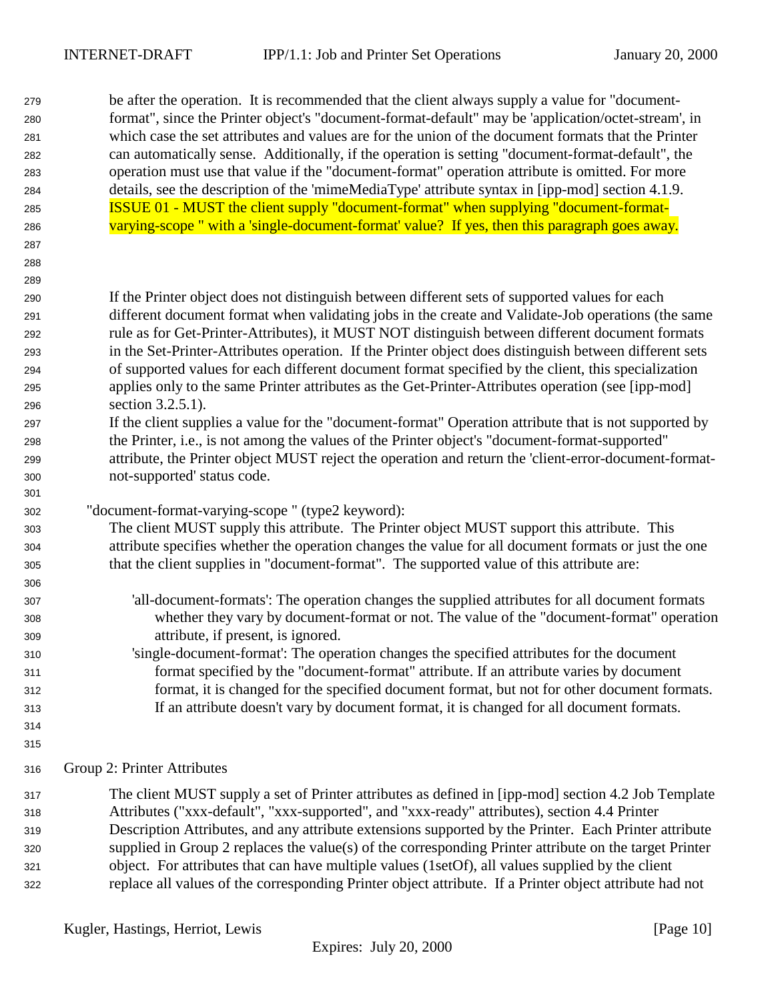be after the operation. It is recommended that the client always supply a value for "document- format", since the Printer object's "document-format-default" may be 'application/octet-stream', in which case the set attributes and values are for the union of the document formats that the Printer can automatically sense. Additionally, if the operation is setting "document-format-default", the operation must use that value if the "document-format" operation attribute is omitted. For more details, see the description of the 'mimeMediaType' attribute syntax in [ipp-mod] section 4.1.9. ISSUE 01 - MUST the client supply "document-format" when supplying "document-format-varying-scope " with a 'single-document-format' value? If yes, then this paragraph goes away.

- 
- 

 If the Printer object does not distinguish between different sets of supported values for each different document format when validating jobs in the create and Validate-Job operations (the same rule as for Get-Printer-Attributes), it MUST NOT distinguish between different document formats in the Set-Printer-Attributes operation. If the Printer object does distinguish between different sets of supported values for each different document format specified by the client, this specialization applies only to the same Printer attributes as the Get-Printer-Attributes operation (see [ipp-mod] section 3.2.5.1).

- If the client supplies a value for the "document-format" Operation attribute that is not supported by the Printer, i.e., is not among the values of the Printer object's "document-format-supported" attribute, the Printer object MUST reject the operation and return the 'client-error-document-format-not-supported' status code.
- "document-format-varying-scope " (type2 keyword):

 The client MUST supply this attribute. The Printer object MUST support this attribute. This attribute specifies whether the operation changes the value for all document formats or just the one that the client supplies in "document-format". The supported value of this attribute are:

- 'all-document-formats': The operation changes the supplied attributes for all document formats whether they vary by document-format or not. The value of the "document-format" operation attribute, if present, is ignored.
- 'single-document-format': The operation changes the specified attributes for the document format specified by the "document-format" attribute. If an attribute varies by document format, it is changed for the specified document format, but not for other document formats. If an attribute doesn't vary by document format, it is changed for all document formats.
- 

Group 2: Printer Attributes

 The client MUST supply a set of Printer attributes as defined in [ipp-mod] section 4.2 Job Template Attributes ("xxx-default", "xxx-supported", and "xxx-ready" attributes), section 4.4 Printer Description Attributes, and any attribute extensions supported by the Printer. Each Printer attribute supplied in Group 2 replaces the value(s) of the corresponding Printer attribute on the target Printer object. For attributes that can have multiple values (1setOf), all values supplied by the client replace all values of the corresponding Printer object attribute. If a Printer object attribute had not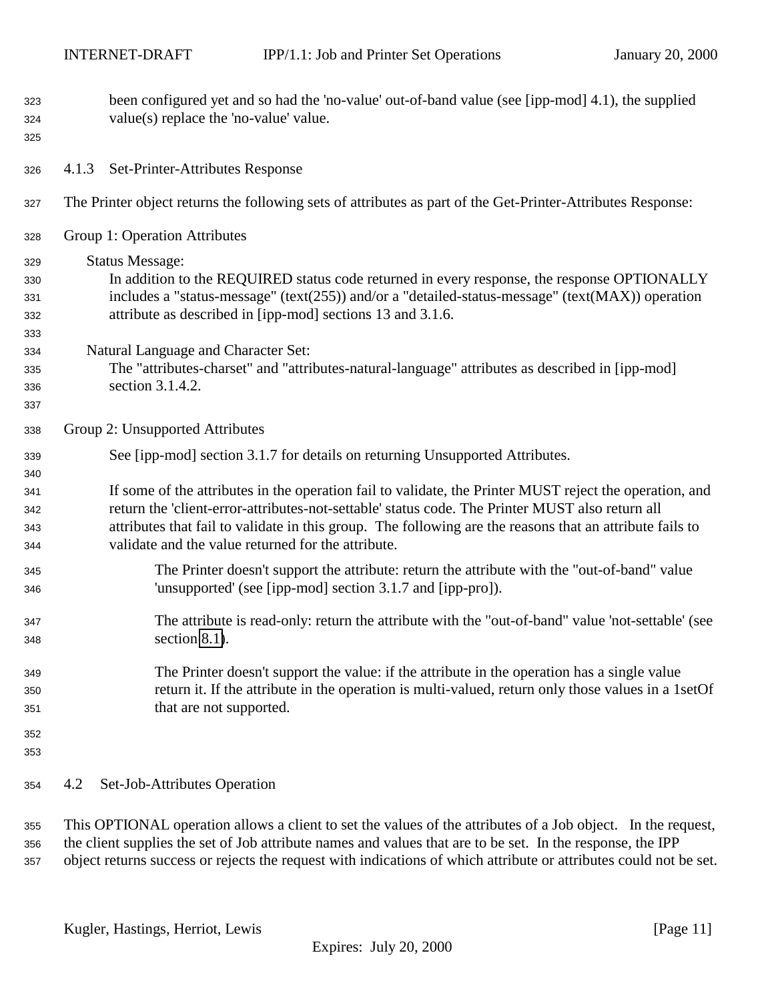<span id="page-10-0"></span>

| 323<br>324<br>325 | been configured yet and so had the 'no-value' out-of-band value (see [ipp-mod] 4.1), the supplied<br>value(s) replace the 'no-value' value. |
|-------------------|---------------------------------------------------------------------------------------------------------------------------------------------|
| 326               | Set-Printer-Attributes Response<br>4.1.3                                                                                                    |
| 327               | The Printer object returns the following sets of attributes as part of the Get-Printer-Attributes Response:                                 |
| 328               | Group 1: Operation Attributes                                                                                                               |
| 329               | <b>Status Message:</b>                                                                                                                      |
| 330               | In addition to the REQUIRED status code returned in every response, the response OPTIONALLY                                                 |
| 331               | includes a "status-message" (text(255)) and/or a "detailed-status-message" (text(MAX)) operation                                            |
| 332               | attribute as described in [ipp-mod] sections 13 and 3.1.6.                                                                                  |
| 333               |                                                                                                                                             |
| 334               | Natural Language and Character Set:                                                                                                         |
| 335               | The "attributes-charset" and "attributes-natural-language" attributes as described in [ipp-mod]                                             |
| 336               | section 3.1.4.2.                                                                                                                            |
| 337               |                                                                                                                                             |
| 338               | Group 2: Unsupported Attributes                                                                                                             |
| 339               | See [ipp-mod] section 3.1.7 for details on returning Unsupported Attributes.                                                                |
| 340               |                                                                                                                                             |
| 341               | If some of the attributes in the operation fail to validate, the Printer MUST reject the operation, and                                     |
| 342               | return the 'client-error-attributes-not-settable' status code. The Printer MUST also return all                                             |
| 343               | attributes that fail to validate in this group. The following are the reasons that an attribute fails to                                    |
| 344               | validate and the value returned for the attribute.                                                                                          |
| 345               | The Printer doesn't support the attribute: return the attribute with the "out-of-band" value                                                |
| 346               | 'unsupported' (see [ipp-mod] section 3.1.7 and [ipp-pro]).                                                                                  |
| 347               | The attribute is read-only: return the attribute with the "out-of-band" value 'not-settable' (see                                           |
| 348               | section 8.1).                                                                                                                               |
| 349               | The Printer doesn't support the value: if the attribute in the operation has a single value                                                 |
| 350               | return it. If the attribute in the operation is multi-valued, return only those values in a 1setOf                                          |
| 351               | that are not supported.                                                                                                                     |
| 352               |                                                                                                                                             |
| 353               |                                                                                                                                             |
| 354               | Set-Job-Attributes Operation<br>4.2                                                                                                         |
| 355               | This OPTIONAL operation allows a client to set the values of the attributes of a Job object. In the request,                                |

 the client supplies the set of Job attribute names and values that are to be set. In the response, the IPP object returns success or rejects the request with indications of which attribute or attributes could not be set.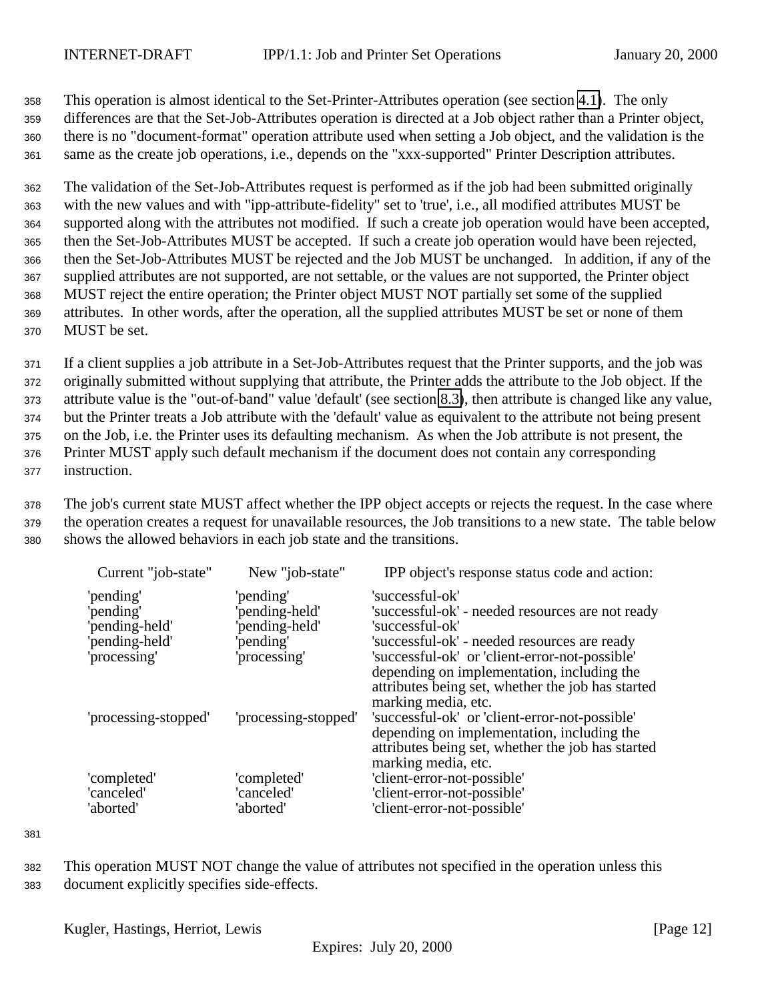This operation is almost identical to the Set-Printer-Attributes operation (see section [4.1\)](#page-6-0). The only differences are that the Set-Job-Attributes operation is directed at a Job object rather than a Printer object, there is no "document-format" operation attribute used when setting a Job object, and the validation is the same as the create job operations, i.e., depends on the "xxx-supported" Printer Description attributes.

 The validation of the Set-Job-Attributes request is performed as if the job had been submitted originally with the new values and with "ipp-attribute-fidelity" set to 'true', i.e., all modified attributes MUST be supported along with the attributes not modified. If such a create job operation would have been accepted, then the Set-Job-Attributes MUST be accepted. If such a create job operation would have been rejected, then the Set-Job-Attributes MUST be rejected and the Job MUST be unchanged. In addition, if any of the supplied attributes are not supported, are not settable, or the values are not supported, the Printer object MUST reject the entire operation; the Printer object MUST NOT partially set some of the supplied attributes. In other words, after the operation, all the supplied attributes MUST be set or none of them MUST be set.

 If a client supplies a job attribute in a Set-Job-Attributes request that the Printer supports, and the job was originally submitted without supplying that attribute, the Printer adds the attribute to the Job object. If the attribute value is the "out-of-band" value 'default' (see section [8.3\)](#page-19-0), then attribute is changed like any value, but the Printer treats a Job attribute with the 'default' value as equivalent to the attribute not being present on the Job, i.e. the Printer uses its defaulting mechanism. As when the Job attribute is not present, the Printer MUST apply such default mechanism if the document does not contain any corresponding instruction.

<sup>378</sup> The job's current state MUST affect whether the IPP object accepts or rejects the request. In the case where <sup>379</sup> the operation creates a request for unavailable resources, the Job transitions to a new state. The table below <sup>380</sup> shows the allowed behaviors in each job state and the transitions.

| Current "job-state"                                                        | New "job-state"                                                         | IPP object's response status code and action:                                                                                                                                                                                                        |
|----------------------------------------------------------------------------|-------------------------------------------------------------------------|------------------------------------------------------------------------------------------------------------------------------------------------------------------------------------------------------------------------------------------------------|
| 'pending'<br>'pending'<br>'pending-held'<br>'pending-held'<br>'processing' | 'pending'<br>pending-held'<br>pending-held'<br>pending'<br>'processing' | 'successful-ok'<br>'successful-ok' - needed resources are not ready<br>'successful-ok'<br>'successful-ok' - needed resources are ready<br>'successful-ok' or 'client-error-not-possible'<br>depending on implementation, including the               |
| 'processing-stopped'                                                       | 'processing-stopped'                                                    | attributes being set, whether the job has started<br>marking media, etc.<br>'successful-ok' or 'client-error-not-possible'<br>depending on implementation, including the<br>attributes being set, whether the job has started<br>marking media, etc. |
| 'completed'<br>'canceled'<br>'aborted'                                     | 'completed'<br>'canceled'<br>'aborted'                                  | 'client-error-not-possible'<br>'client-error-not-possible'<br>'client-error-not-possible'                                                                                                                                                            |

381

<sup>382</sup> This operation MUST NOT change the value of attributes not specified in the operation unless this <sup>383</sup> document explicitly specifies side-effects.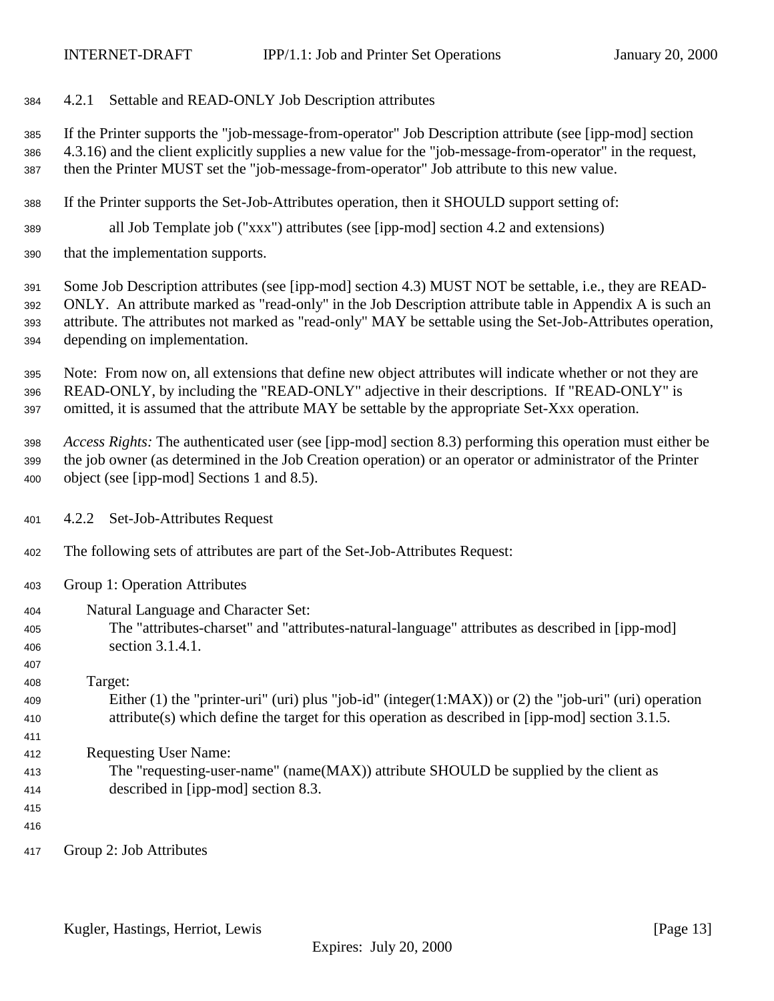### <span id="page-12-0"></span>4.2.1 Settable and READ-ONLY Job Description attributes

 If the Printer supports the "job-message-from-operator" Job Description attribute (see [ipp-mod] section 4.3.16) and the client explicitly supplies a new value for the "job-message-from-operator" in the request, then the Printer MUST set the "job-message-from-operator" Job attribute to this new value.

- If the Printer supports the Set-Job-Attributes operation, then it SHOULD support setting of:
- all Job Template job ("xxx") attributes (see [ipp-mod] section 4.2 and extensions)
- that the implementation supports.

 Some Job Description attributes (see [ipp-mod] section 4.3) MUST NOT be settable, i.e., they are READ- ONLY. An attribute marked as "read-only" in the Job Description attribute table in Appendix A is such an attribute. The attributes not marked as "read-only" MAY be settable using the Set-Job-Attributes operation, depending on implementation.

 Note: From now on, all extensions that define new object attributes will indicate whether or not they are READ-ONLY, by including the "READ-ONLY" adjective in their descriptions. If "READ-ONLY" is omitted, it is assumed that the attribute MAY be settable by the appropriate Set-Xxx operation.

 *Access Rights:* The authenticated user (see [ipp-mod] section 8.3) performing this operation must either be the job owner (as determined in the Job Creation operation) or an operator or administrator of the Printer object (see [ipp-mod] Sections 1 and 8.5).

- 4.2.2 Set-Job-Attributes Request
- The following sets of attributes are part of the Set-Job-Attributes Request:
- Group 1: Operation Attributes
- Natural Language and Character Set: The "attributes-charset" and "attributes-natural-language" attributes as described in [ipp-mod] section 3.1.4.1.
- Target:
- Either (1) the "printer-uri" (uri) plus "job-id" (integer(1:MAX)) or (2) the "job-uri" (uri) operation attribute(s) which define the target for this operation as described in [ipp-mod] section 3.1.5.
- Requesting User Name:
- The "requesting-user-name" (name(MAX)) attribute SHOULD be supplied by the client as described in [ipp-mod] section 8.3.
	-

- 
- Group 2: Job Attributes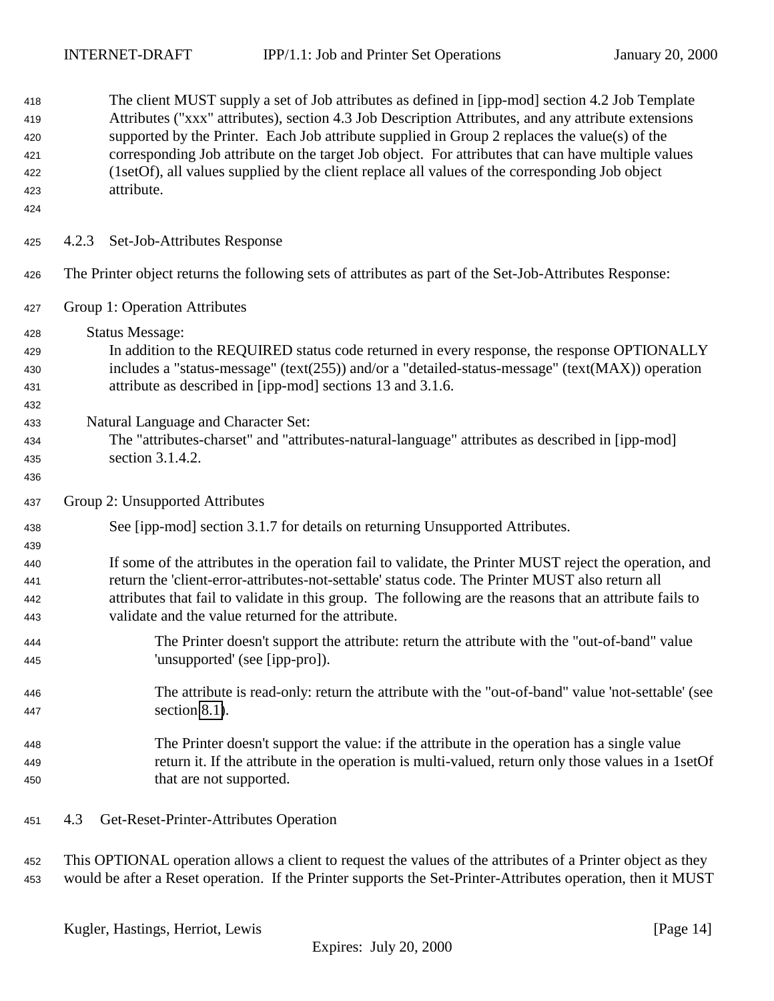<span id="page-13-0"></span>

| 418<br>419<br>420<br>421<br>422<br>423<br>424 | The client MUST supply a set of Job attributes as defined in [ipp-mod] section 4.2 Job Template<br>Attributes ("xxx" attributes), section 4.3 Job Description Attributes, and any attribute extensions<br>supported by the Printer. Each Job attribute supplied in Group 2 replaces the value(s) of the<br>corresponding Job attribute on the target Job object. For attributes that can have multiple values<br>(1setOf), all values supplied by the client replace all values of the corresponding Job object<br>attribute. |
|-----------------------------------------------|-------------------------------------------------------------------------------------------------------------------------------------------------------------------------------------------------------------------------------------------------------------------------------------------------------------------------------------------------------------------------------------------------------------------------------------------------------------------------------------------------------------------------------|
| 425                                           | Set-Job-Attributes Response<br>4.2.3                                                                                                                                                                                                                                                                                                                                                                                                                                                                                          |
| 426                                           | The Printer object returns the following sets of attributes as part of the Set-Job-Attributes Response:                                                                                                                                                                                                                                                                                                                                                                                                                       |
| 427                                           | Group 1: Operation Attributes                                                                                                                                                                                                                                                                                                                                                                                                                                                                                                 |
| 428                                           | <b>Status Message:</b>                                                                                                                                                                                                                                                                                                                                                                                                                                                                                                        |
| 429                                           | In addition to the REQUIRED status code returned in every response, the response OPTIONALLY                                                                                                                                                                                                                                                                                                                                                                                                                                   |
| 430                                           | includes a "status-message" (text(255)) and/or a "detailed-status-message" (text(MAX)) operation                                                                                                                                                                                                                                                                                                                                                                                                                              |
| 431                                           | attribute as described in [ipp-mod] sections 13 and 3.1.6.                                                                                                                                                                                                                                                                                                                                                                                                                                                                    |
| 432                                           |                                                                                                                                                                                                                                                                                                                                                                                                                                                                                                                               |
| 433                                           | Natural Language and Character Set:                                                                                                                                                                                                                                                                                                                                                                                                                                                                                           |
| 434                                           | The "attributes-charset" and "attributes-natural-language" attributes as described in [ipp-mod]                                                                                                                                                                                                                                                                                                                                                                                                                               |
| 435                                           | section 3.1.4.2.                                                                                                                                                                                                                                                                                                                                                                                                                                                                                                              |
| 436                                           |                                                                                                                                                                                                                                                                                                                                                                                                                                                                                                                               |
| 437                                           | Group 2: Unsupported Attributes                                                                                                                                                                                                                                                                                                                                                                                                                                                                                               |
| 438                                           | See [ipp-mod] section 3.1.7 for details on returning Unsupported Attributes.                                                                                                                                                                                                                                                                                                                                                                                                                                                  |
| 439                                           |                                                                                                                                                                                                                                                                                                                                                                                                                                                                                                                               |
| 440                                           | If some of the attributes in the operation fail to validate, the Printer MUST reject the operation, and<br>return the 'client-error-attributes-not-settable' status code. The Printer MUST also return all                                                                                                                                                                                                                                                                                                                    |
| 441                                           | attributes that fail to validate in this group. The following are the reasons that an attribute fails to                                                                                                                                                                                                                                                                                                                                                                                                                      |
| 442<br>443                                    | validate and the value returned for the attribute.                                                                                                                                                                                                                                                                                                                                                                                                                                                                            |
| 444                                           | The Printer doesn't support the attribute: return the attribute with the "out-of-band" value                                                                                                                                                                                                                                                                                                                                                                                                                                  |
| 445                                           | 'unsupported' (see [ipp-pro]).                                                                                                                                                                                                                                                                                                                                                                                                                                                                                                |
| 446                                           | The attribute is read-only: return the attribute with the "out-of-band" value 'not-settable' (see                                                                                                                                                                                                                                                                                                                                                                                                                             |
| 447                                           | section $8.1$ ).                                                                                                                                                                                                                                                                                                                                                                                                                                                                                                              |
| 448                                           | The Printer doesn't support the value: if the attribute in the operation has a single value                                                                                                                                                                                                                                                                                                                                                                                                                                   |
| 449                                           | return it. If the attribute in the operation is multi-valued, return only those values in a 1setOf                                                                                                                                                                                                                                                                                                                                                                                                                            |
| 450                                           | that are not supported.                                                                                                                                                                                                                                                                                                                                                                                                                                                                                                       |
| 451                                           | 4.3<br>Get-Reset-Printer-Attributes Operation                                                                                                                                                                                                                                                                                                                                                                                                                                                                                 |
| 452                                           | This OPTIONAL operation allows a client to request the values of the attributes of a Printer object as they                                                                                                                                                                                                                                                                                                                                                                                                                   |

453 would be after a Reset operation. If the Printer supports the Set-Printer-Attributes operation, then it MUST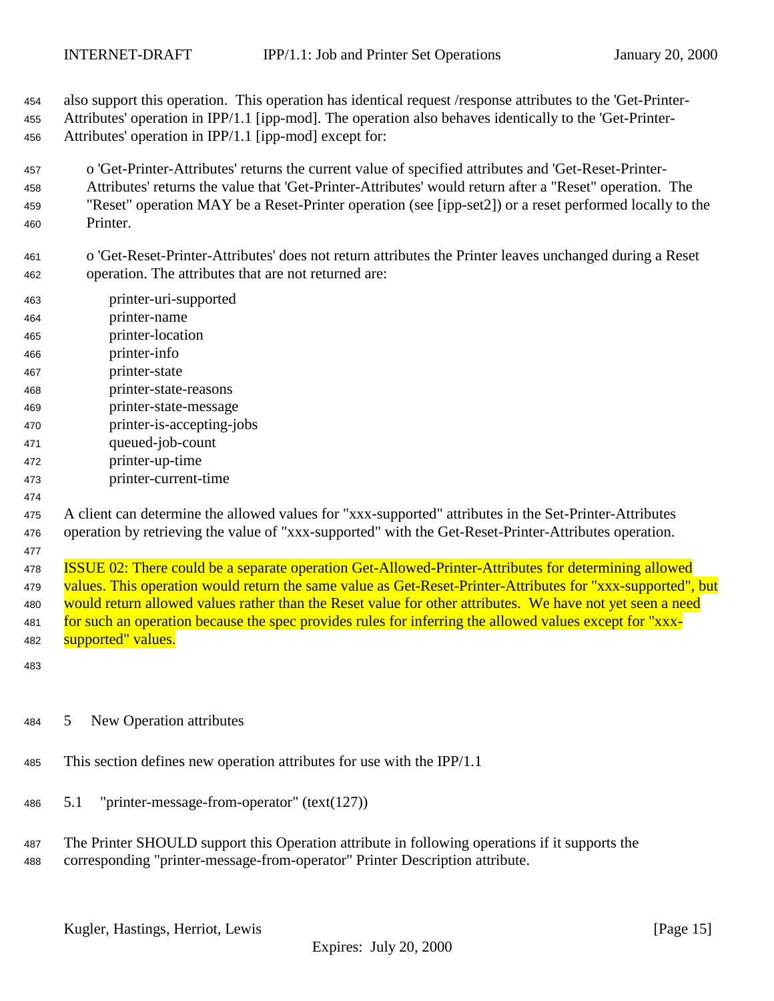<span id="page-14-0"></span> also support this operation. This operation has identical request /response attributes to the 'Get-Printer-Attributes' operation in IPP/1.1 [ipp-mod]. The operation also behaves identically to the 'Get-Printer-

- Attributes' operation in IPP/1.1 [ipp-mod] except for:
- o 'Get-Printer-Attributes' returns the current value of specified attributes and 'Get-Reset-Printer- Attributes' returns the value that 'Get-Printer-Attributes' would return after a "Reset" operation. The "Reset" operation MAY be a Reset-Printer operation (see [ipp-set2]) or a reset performed locally to the Printer.
- o 'Get-Reset-Printer-Attributes' does not return attributes the Printer leaves unchanged during a Reset operation. The attributes that are not returned are:
- printer-uri-supported
- printer-name
- printer-location
- printer-info
- printer-state
- printer-state-reasons
- printer-state-message
- printer-is-accepting-jobs
- queued-job-count
- printer-up-time
- printer-current-time
- 

 A client can determine the allowed values for "xxx-supported" attributes in the Set-Printer-Attributes operation by retrieving the value of "xxx-supported" with the Get-Reset-Printer-Attributes operation.

 ISSUE 02: There could be a separate operation Get-Allowed-Printer-Attributes for determining allowed values. This operation would return the same value as Get-Reset-Printer-Attributes for "xxx-supported", but 480 would return allowed values rather than the Reset value for other attributes. We have not yet seen a need for such an operation because the spec provides rules for inferring the allowed values except for "xxx-**supported"** values.

### 5 New Operation attributes

- This section defines new operation attributes for use with the IPP/1.1
- 5.1 "printer-message-from-operator" (text(127))
- The Printer SHOULD support this Operation attribute in following operations if it supports the corresponding "printer-message-from-operator" Printer Description attribute.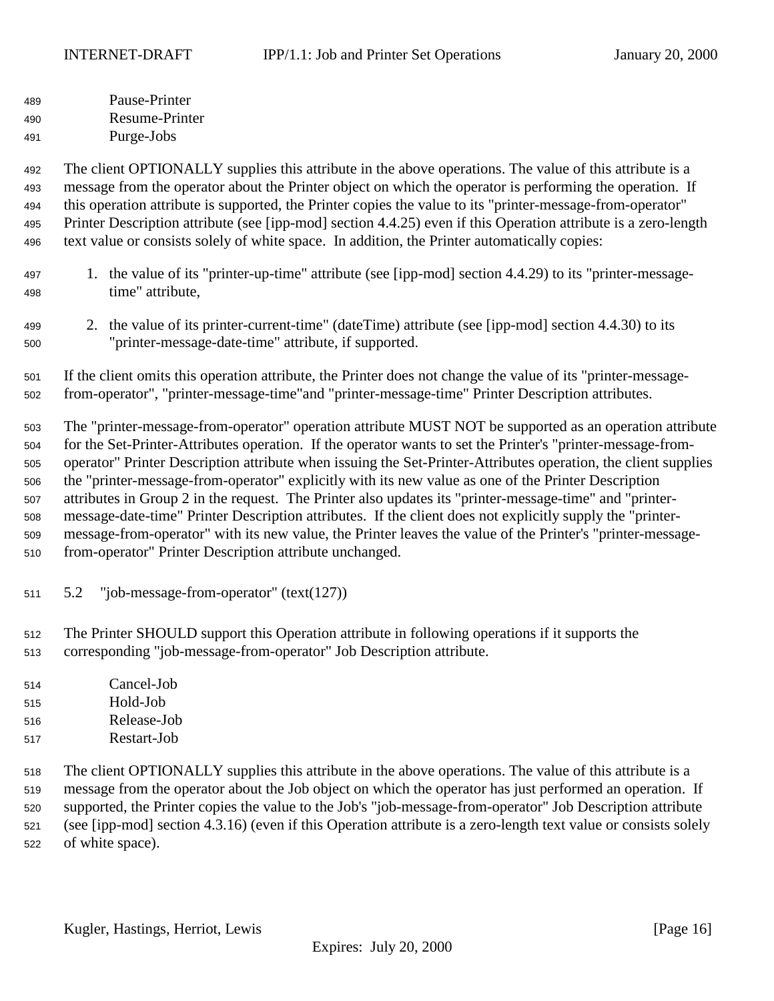<span id="page-15-0"></span> Pause-Printer Resume-Printer Purge-Jobs

 The client OPTIONALLY supplies this attribute in the above operations. The value of this attribute is a message from the operator about the Printer object on which the operator is performing the operation. If this operation attribute is supported, the Printer copies the value to its "printer-message-from-operator" Printer Description attribute (see [ipp-mod] section 4.4.25) even if this Operation attribute is a zero-length text value or consists solely of white space. In addition, the Printer automatically copies:

- 1. the value of its "printer-up-time" attribute (see [ipp-mod] section 4.4.29) to its "printer-message-time" attribute,
- 2. the value of its printer-current-time" (dateTime) attribute (see [ipp-mod] section 4.4.30) to its "printer-message-date-time" attribute, if supported.

 If the client omits this operation attribute, the Printer does not change the value of its "printer-message-from-operator", "printer-message-time"and "printer-message-time" Printer Description attributes.

 The "printer-message-from-operator" operation attribute MUST NOT be supported as an operation attribute for the Set-Printer-Attributes operation. If the operator wants to set the Printer's "printer-message-from- operator" Printer Description attribute when issuing the Set-Printer-Attributes operation, the client supplies the "printer-message-from-operator" explicitly with its new value as one of the Printer Description attributes in Group 2 in the request. The Printer also updates its "printer-message-time" and "printer- message-date-time" Printer Description attributes. If the client does not explicitly supply the "printer- message-from-operator" with its new value, the Printer leaves the value of the Printer's "printer-message-from-operator" Printer Description attribute unchanged.

5.2 "job-message-from-operator" (text(127))

 The Printer SHOULD support this Operation attribute in following operations if it supports the corresponding "job-message-from-operator" Job Description attribute.

- Cancel-Job Hold-Job Release-Job
- Restart-Job

 The client OPTIONALLY supplies this attribute in the above operations. The value of this attribute is a message from the operator about the Job object on which the operator has just performed an operation. If supported, the Printer copies the value to the Job's "job-message-from-operator" Job Description attribute (see [ipp-mod] section 4.3.16) (even if this Operation attribute is a zero-length text value or consists solely of white space).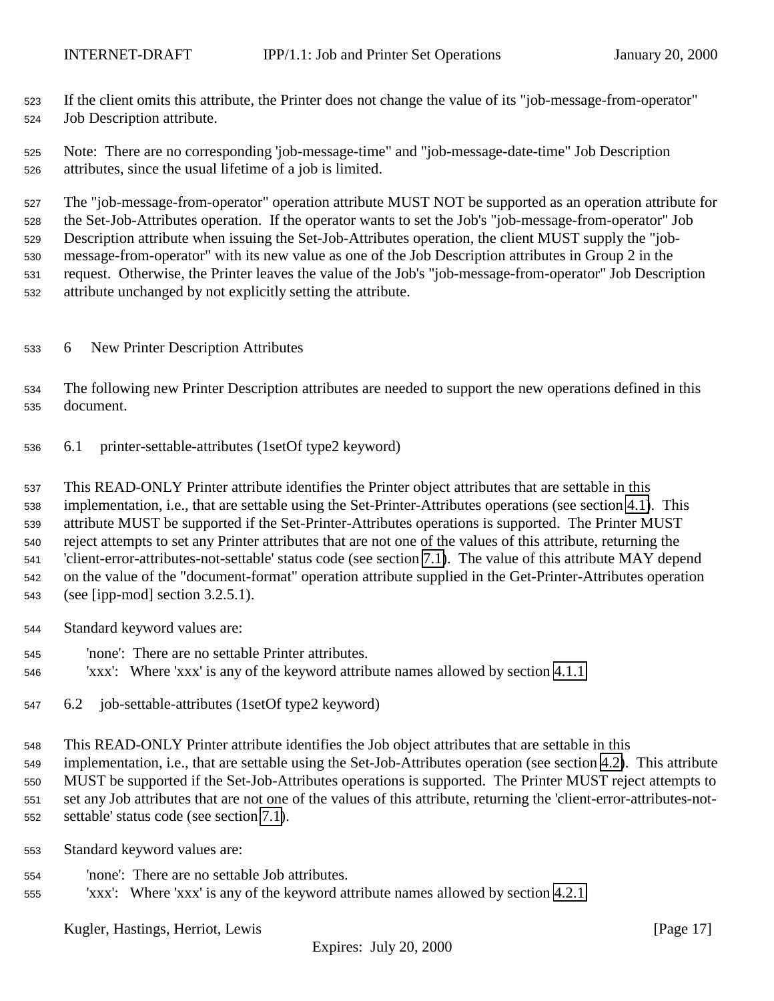<span id="page-16-0"></span> If the client omits this attribute, the Printer does not change the value of its "job-message-from-operator" Job Description attribute.

 Note: There are no corresponding 'job-message-time" and "job-message-date-time" Job Description attributes, since the usual lifetime of a job is limited.

 The "job-message-from-operator" operation attribute MUST NOT be supported as an operation attribute for the Set-Job-Attributes operation. If the operator wants to set the Job's "job-message-from-operator" Job Description attribute when issuing the Set-Job-Attributes operation, the client MUST supply the "job- message-from-operator" with its new value as one of the Job Description attributes in Group 2 in the request. Otherwise, the Printer leaves the value of the Job's "job-message-from-operator" Job Description attribute unchanged by not explicitly setting the attribute.

## 6 New Printer Description Attributes

 The following new Printer Description attributes are needed to support the new operations defined in this document.

6.1 printer-settable-attributes (1setOf type2 keyword)

 This READ-ONLY Printer attribute identifies the Printer object attributes that are settable in this implementation, i.e., that are settable using the Set-Printer-Attributes operations (see section [4.1\)](#page-6-0). This attribute MUST be supported if the Set-Printer-Attributes operations is supported. The Printer MUST reject attempts to set any Printer attributes that are not one of the values of this attribute, returning the 'client-error-attributes-not-settable' status code (see section [7.1\)](#page-18-0). The value of this attribute MAY depend on the value of the "document-format" operation attribute supplied in the Get-Printer-Attributes operation (see [ipp-mod] section 3.2.5.1).

- Standard keyword values are:
- 'none': There are no settable Printer attributes.
- 'xxx': Where 'xxx' is any of the keyword attribute names allowed by section [4.1.1](#page-7-0)
- 6.2 job-settable-attributes (1setOf type2 keyword)

 This READ-ONLY Printer attribute identifies the Job object attributes that are settable in this implementation, i.e., that are settable using the Set-Job-Attributes operation (see section [4.2\)](#page-10-0). This attribute MUST be supported if the Set-Job-Attributes operations is supported. The Printer MUST reject attempts to set any Job attributes that are not one of the values of this attribute, returning the 'client-error-attributes-not-settable' status code (see section [7.1\)](#page-18-0).

- Standard keyword values are:
- 'none': There are no settable Job attributes.
- 'xxx': Where 'xxx' is any of the keyword attribute names allowed by section [4.2.1.](#page-12-0)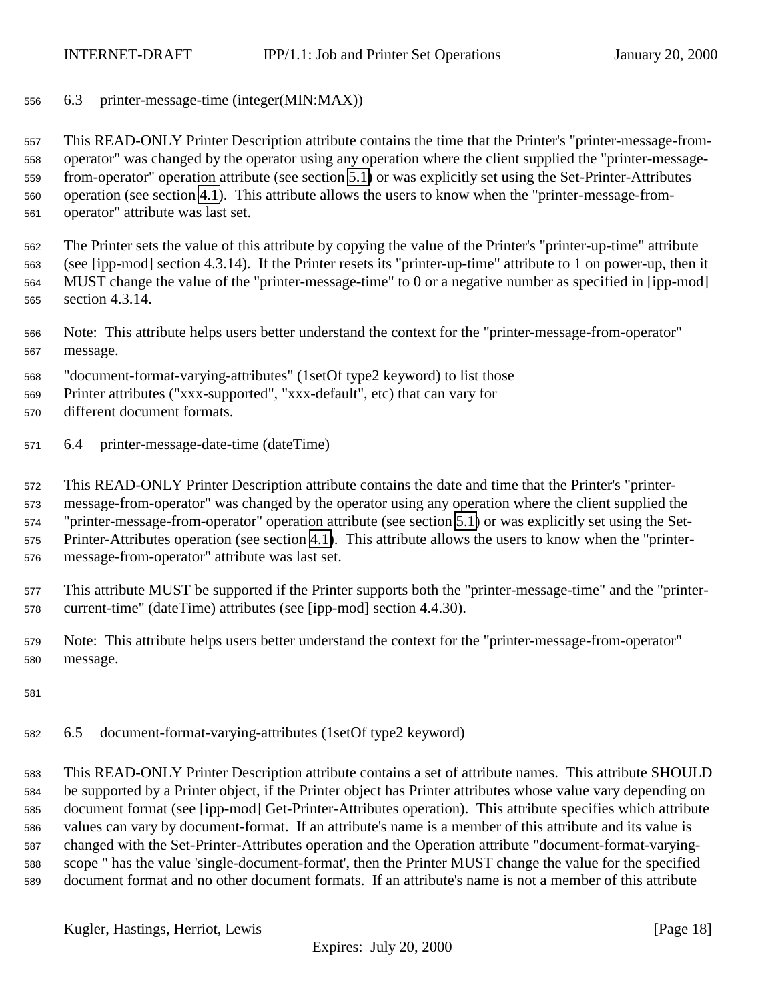<span id="page-17-0"></span>6.3 printer-message-time (integer(MIN:MAX))

 This READ-ONLY Printer Description attribute contains the time that the Printer's "printer-message-from- operator" was changed by the operator using any operation where the client supplied the "printer-message- from-operator" operation attribute (see section [5.1\)](#page-14-0) or was explicitly set using the Set-Printer-Attributes operation (see section [4.1\)](#page-6-0). This attribute allows the users to know when the "printer-message-from-operator" attribute was last set.

 The Printer sets the value of this attribute by copying the value of the Printer's "printer-up-time" attribute (see [ipp-mod] section 4.3.14). If the Printer resets its "printer-up-time" attribute to 1 on power-up, then it MUST change the value of the "printer-message-time" to 0 or a negative number as specified in [ipp-mod] section 4.3.14.

- Note: This attribute helps users better understand the context for the "printer-message-from-operator" message.
- "document-format-varying-attributes" (1setOf type2 keyword) to list those
- Printer attributes ("xxx-supported", "xxx-default", etc) that can vary for
- different document formats.
- 6.4 printer-message-date-time (dateTime)

 This READ-ONLY Printer Description attribute contains the date and time that the Printer's "printer- message-from-operator" was changed by the operator using any operation where the client supplied the "printer-message-from-operator" operation attribute (see section [5.1\)](#page-14-0) or was explicitly set using the Set- Printer-Attributes operation (see section [4.1\)](#page-6-0). This attribute allows the users to know when the "printer-message-from-operator" attribute was last set.

 This attribute MUST be supported if the Printer supports both the "printer-message-time" and the "printer-current-time" (dateTime) attributes (see [ipp-mod] section 4.4.30).

- Note: This attribute helps users better understand the context for the "printer-message-from-operator" message.
- 
- 6.5 document-format-varying-attributes (1setOf type2 keyword)

 This READ-ONLY Printer Description attribute contains a set of attribute names. This attribute SHOULD be supported by a Printer object, if the Printer object has Printer attributes whose value vary depending on document format (see [ipp-mod] Get-Printer-Attributes operation). This attribute specifies which attribute values can vary by document-format. If an attribute's name is a member of this attribute and its value is changed with the Set-Printer-Attributes operation and the Operation attribute "document-format-varying- scope " has the value 'single-document-format', then the Printer MUST change the value for the specified document format and no other document formats. If an attribute's name is not a member of this attribute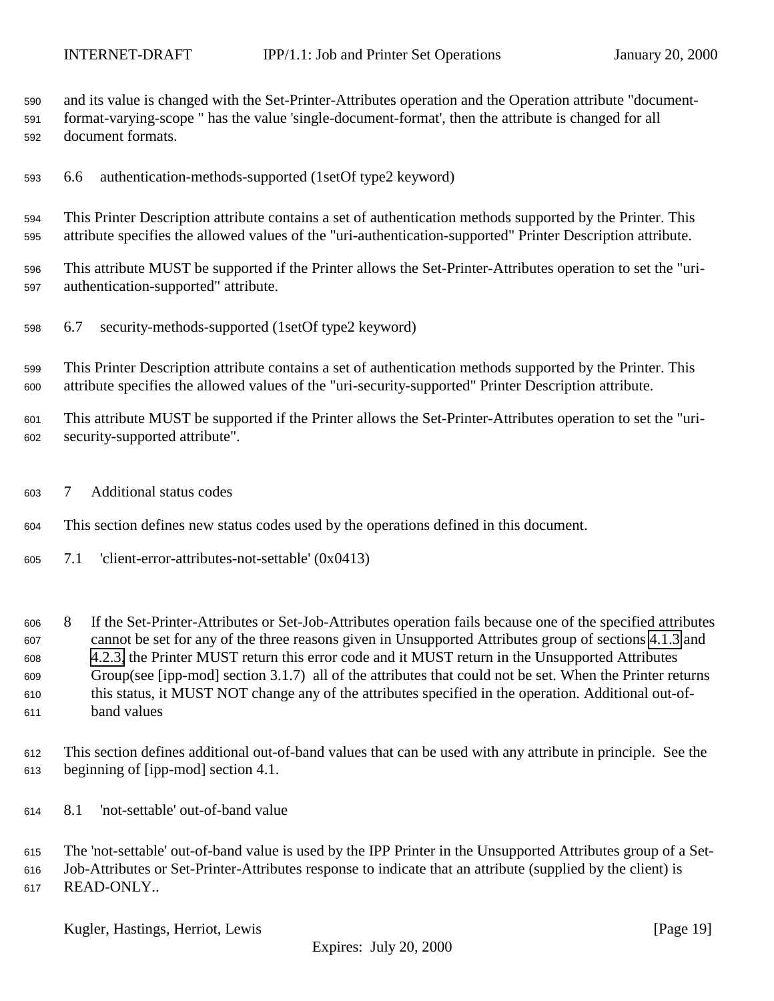<span id="page-18-0"></span>and its value is changed with the Set-Printer-Attributes operation and the Operation attribute "document-

- format-varying-scope " has the value 'single-document-format', then the attribute is changed for all document formats.
- 6.6 authentication-methods-supported (1setOf type2 keyword)

 This Printer Description attribute contains a set of authentication methods supported by the Printer. This attribute specifies the allowed values of the "uri-authentication-supported" Printer Description attribute.

- This attribute MUST be supported if the Printer allows the Set-Printer-Attributes operation to set the "uri-authentication-supported" attribute.
- 6.7 security-methods-supported (1setOf type2 keyword)

 This Printer Description attribute contains a set of authentication methods supported by the Printer. This attribute specifies the allowed values of the "uri-security-supported" Printer Description attribute.

 This attribute MUST be supported if the Printer allows the Set-Printer-Attributes operation to set the "uri-security-supported attribute".

7 Additional status codes

This section defines new status codes used by the operations defined in this document.

7.1 'client-error-attributes-not-settable' (0x0413)

 8 If the Set-Printer-Attributes or Set-Job-Attributes operation fails because one of the specified attributes cannot be set for any of the three reasons given in Unsupported Attributes group of sections [4.1.3](#page-10-0) and [4.2.3,](#page-13-0) the Printer MUST return this error code and it MUST return in the Unsupported Attributes Group(see [ipp-mod] section 3.1.7) all of the attributes that could not be set. When the Printer returns this status, it MUST NOT change any of the attributes specified in the operation. Additional out-of-band values

- This section defines additional out-of-band values that can be used with any attribute in principle. See the beginning of [ipp-mod] section 4.1.
- 8.1 'not-settable' out-of-band value

 The 'not-settable' out-of-band value is used by the IPP Printer in the Unsupported Attributes group of a Set- Job-Attributes or Set-Printer-Attributes response to indicate that an attribute (supplied by the client) is READ-ONLY..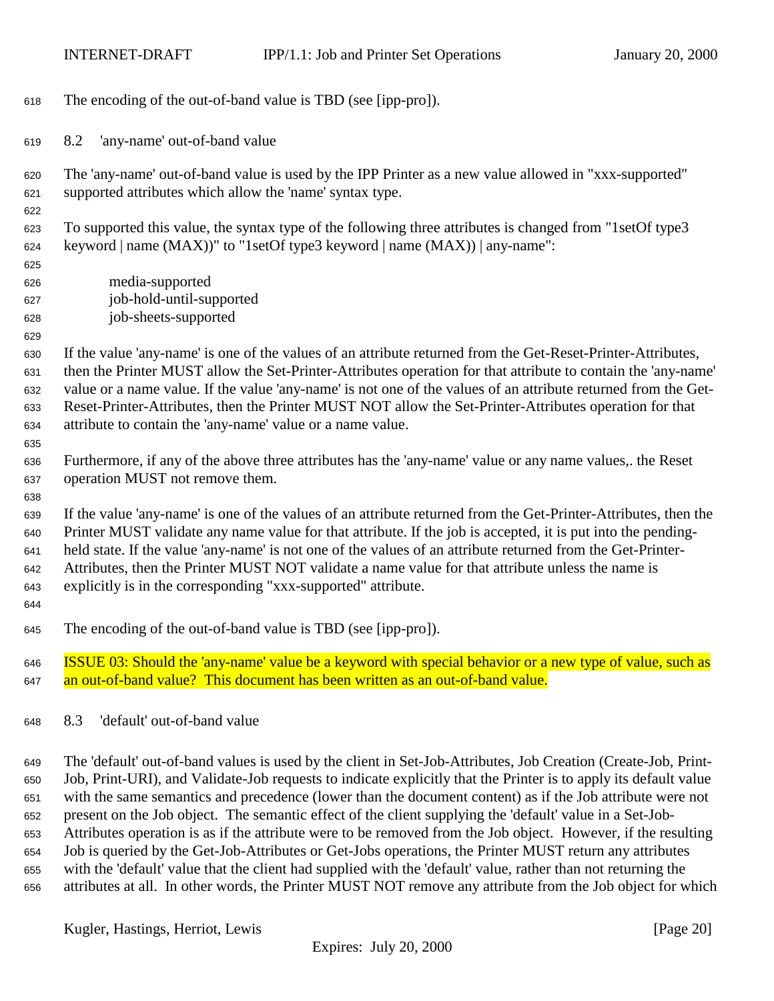<span id="page-19-0"></span>The encoding of the out-of-band value is TBD (see [ipp-pro]).

8.2 'any-name' out-of-band value

 The 'any-name' out-of-band value is used by the IPP Printer as a new value allowed in "xxx-supported" supported attributes which allow the 'name' syntax type.

 To supported this value, the syntax type of the following three attributes is changed from "1setOf type3 keyword | name (MAX))" to "1setOf type3 keyword | name (MAX)) | any-name":

 media-supported job-hold-until-supported job-sheets-supported

 If the value 'any-name' is one of the values of an attribute returned from the Get-Reset-Printer-Attributes, then the Printer MUST allow the Set-Printer-Attributes operation for that attribute to contain the 'any-name' value or a name value. If the value 'any-name' is not one of the values of an attribute returned from the Get- Reset-Printer-Attributes, then the Printer MUST NOT allow the Set-Printer-Attributes operation for that attribute to contain the 'any-name' value or a name value.

 Furthermore, if any of the above three attributes has the 'any-name' value or any name values,. the Reset operation MUST not remove them.

 If the value 'any-name' is one of the values of an attribute returned from the Get-Printer-Attributes, then the Printer MUST validate any name value for that attribute. If the job is accepted, it is put into the pending- held state. If the value 'any-name' is not one of the values of an attribute returned from the Get-Printer- Attributes, then the Printer MUST NOT validate a name value for that attribute unless the name is explicitly is in the corresponding "xxx-supported" attribute.

The encoding of the out-of-band value is TBD (see [ipp-pro]).

 ISSUE 03: Should the 'any-name' value be a keyword with special behavior or a new type of value, such as an out-of-band value? This document has been written as an out-of-band value.

8.3 'default' out-of-band value

 The 'default' out-of-band values is used by the client in Set-Job-Attributes, Job Creation (Create-Job, Print- Job, Print-URI), and Validate-Job requests to indicate explicitly that the Printer is to apply its default value with the same semantics and precedence (lower than the document content) as if the Job attribute were not present on the Job object. The semantic effect of the client supplying the 'default' value in a Set-Job- Attributes operation is as if the attribute were to be removed from the Job object. However, if the resulting Job is queried by the Get-Job-Attributes or Get-Jobs operations, the Printer MUST return any attributes with the 'default' value that the client had supplied with the 'default' value, rather than not returning the attributes at all. In other words, the Printer MUST NOT remove any attribute from the Job object for which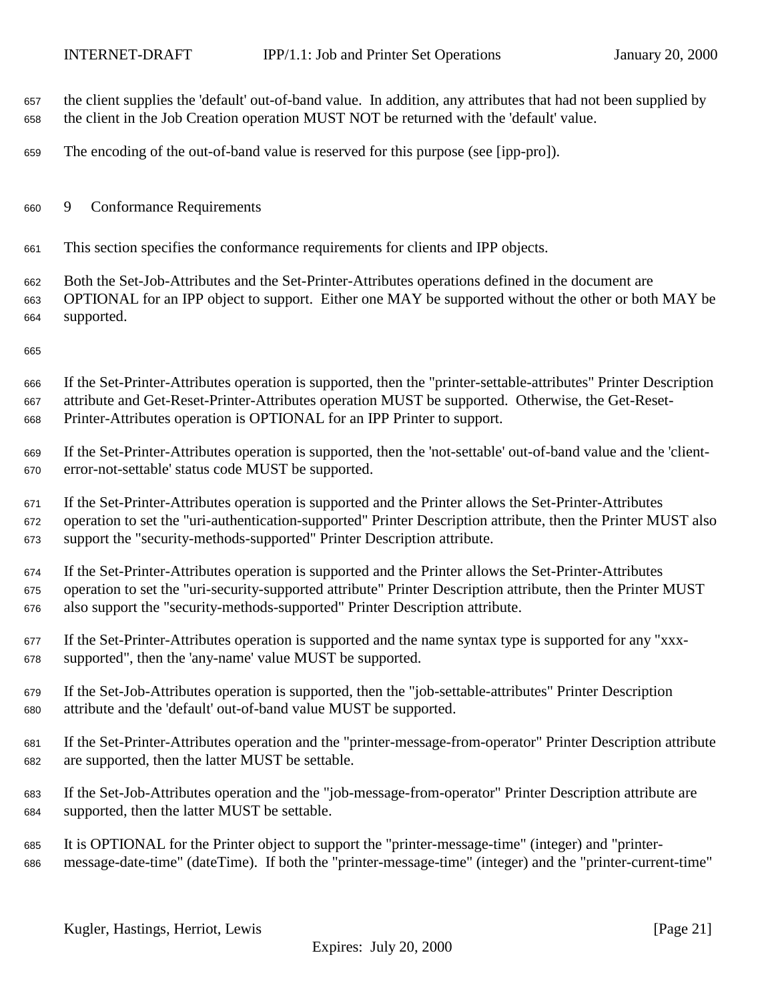- <span id="page-20-0"></span> the client supplies the 'default' out-of-band value. In addition, any attributes that had not been supplied by the client in the Job Creation operation MUST NOT be returned with the 'default' value.
- The encoding of the out-of-band value is reserved for this purpose (see [ipp-pro]).
- 9 Conformance Requirements
- This section specifies the conformance requirements for clients and IPP objects.
- Both the Set-Job-Attributes and the Set-Printer-Attributes operations defined in the document are OPTIONAL for an IPP object to support. Either one MAY be supported without the other or both MAY be supported.
- 

 If the Set-Printer-Attributes operation is supported, then the "printer-settable-attributes" Printer Description attribute and Get-Reset-Printer-Attributes operation MUST be supported. Otherwise, the Get-Reset-Printer-Attributes operation is OPTIONAL for an IPP Printer to support.

 If the Set-Printer-Attributes operation is supported, then the 'not-settable' out-of-band value and the 'client-error-not-settable' status code MUST be supported.

 If the Set-Printer-Attributes operation is supported and the Printer allows the Set-Printer-Attributes operation to set the "uri-authentication-supported" Printer Description attribute, then the Printer MUST also support the "security-methods-supported" Printer Description attribute.

 If the Set-Printer-Attributes operation is supported and the Printer allows the Set-Printer-Attributes operation to set the "uri-security-supported attribute" Printer Description attribute, then the Printer MUST also support the "security-methods-supported" Printer Description attribute.

- If the Set-Printer-Attributes operation is supported and the name syntax type is supported for any "xxx-supported", then the 'any-name' value MUST be supported.
- If the Set-Job-Attributes operation is supported, then the "job-settable-attributes" Printer Description attribute and the 'default' out-of-band value MUST be supported.
- If the Set-Printer-Attributes operation and the "printer-message-from-operator" Printer Description attribute are supported, then the latter MUST be settable.
- If the Set-Job-Attributes operation and the "job-message-from-operator" Printer Description attribute are supported, then the latter MUST be settable.
- It is OPTIONAL for the Printer object to support the "printer-message-time" (integer) and "printer-message-date-time" (dateTime). If both the "printer-message-time" (integer) and the "printer-current-time"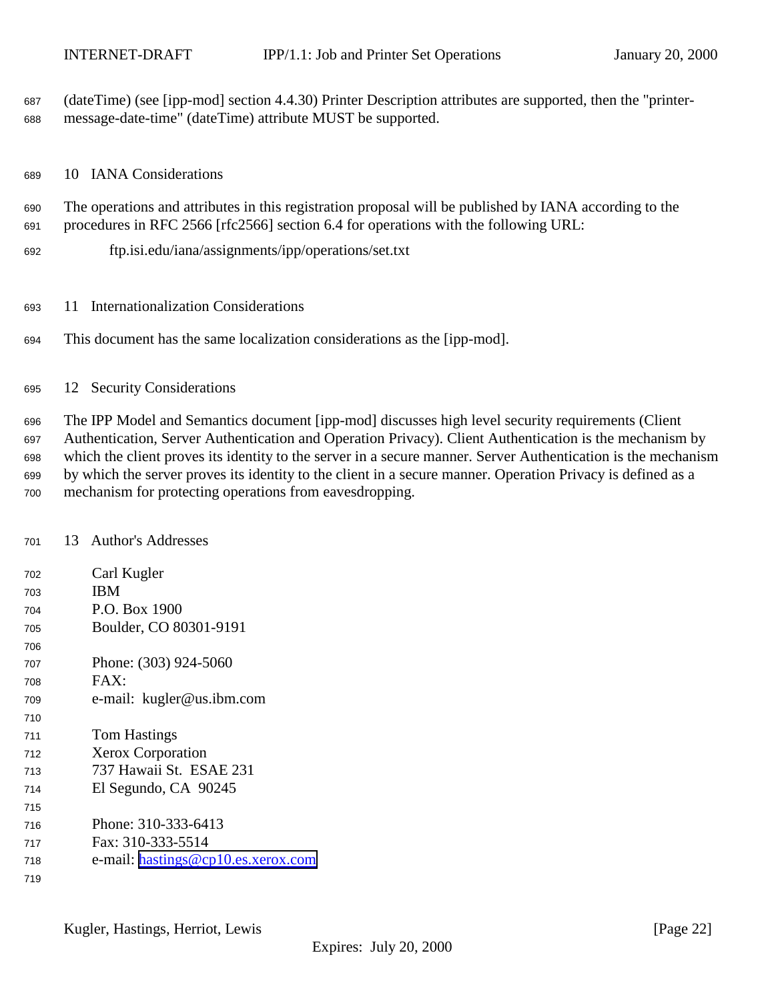<span id="page-21-0"></span> (dateTime) (see [ipp-mod] section 4.4.30) Printer Description attributes are supported, then the "printer-message-date-time" (dateTime) attribute MUST be supported.

10 IANA Considerations

 The operations and attributes in this registration proposal will be published by IANA according to the procedures in RFC 2566 [rfc2566] section 6.4 for operations with the following URL:

- ftp.isi.edu/iana/assignments/ipp/operations/set.txt
- 11 Internationalization Considerations
- This document has the same localization considerations as the [ipp-mod].

### 12 Security Considerations

 The IPP Model and Semantics document [ipp-mod] discusses high level security requirements (Client Authentication, Server Authentication and Operation Privacy). Client Authentication is the mechanism by which the client proves its identity to the server in a secure manner. Server Authentication is the mechanism by which the server proves its identity to the client in a secure manner. Operation Privacy is defined as a mechanism for protecting operations from eavesdropping.

### 13 Author's Addresses

| 702 | Carl Kugler                        |
|-----|------------------------------------|
| 703 | ΙBΜ                                |
| 704 | P.O. Box 1900                      |
| 705 | Boulder, CO 80301-9191             |
| 706 |                                    |
| 707 | Phone: (303) 924-5060              |
| 708 | $FAX^.$                            |
| 709 | e-mail: kugler@us.ibm.com          |
| 710 |                                    |
| 711 | Tom Hastings                       |
| 712 | <b>Xerox Corporation</b>           |
| 713 | 737 Hawaii St. ESAE 231            |
| 714 | El Segundo, CA 90245               |
| 715 |                                    |
| 716 | Phone: 310-333-6413                |
| 717 | Fax: 310-333-5514                  |
| 718 | e-mail: hastings@cp10.es.xerox.com |
| 719 |                                    |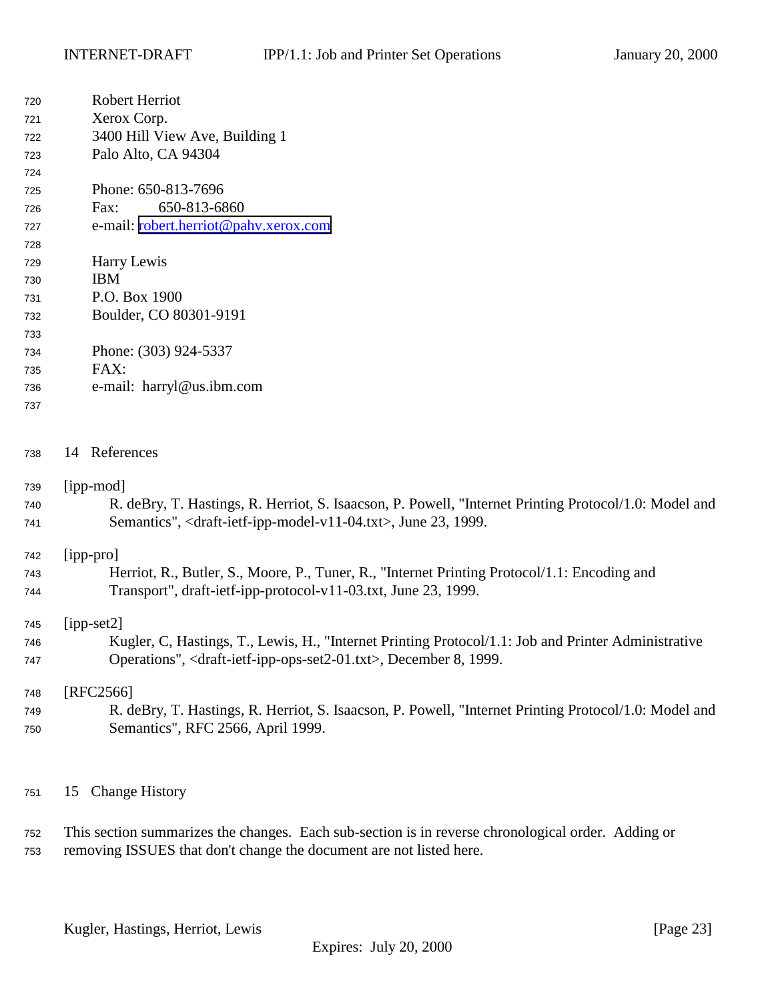<span id="page-22-0"></span>

| 720        | Robert Herriot                                                                                        |
|------------|-------------------------------------------------------------------------------------------------------|
| 721        | Xerox Corp.                                                                                           |
| 722        | 3400 Hill View Ave, Building 1                                                                        |
| 723        | Palo Alto, CA 94304                                                                                   |
| 724        |                                                                                                       |
| 725        | Phone: 650-813-7696                                                                                   |
| 726        | 650-813-6860<br>Fax:                                                                                  |
| 727        | e-mail: robert.herriot@pahv.xerox.com                                                                 |
| 728        |                                                                                                       |
| 729        | Harry Lewis                                                                                           |
| 730        | <b>IBM</b>                                                                                            |
| 731        | P.O. Box 1900                                                                                         |
| 732        | Boulder, CO 80301-9191                                                                                |
| 733        |                                                                                                       |
| 734        | Phone: (303) 924-5337                                                                                 |
| 735        | FAX:                                                                                                  |
| 736        | e-mail: harryl@us.ibm.com                                                                             |
| 737        |                                                                                                       |
| 738        | 14 References                                                                                         |
|            | [ipp-mod]                                                                                             |
| 739        | R. deBry, T. Hastings, R. Herriot, S. Isaacson, P. Powell, "Internet Printing Protocol/1.0: Model and |
| 740<br>741 | Semantics", <draft-ietf-ipp-model-v11-04.txt>, June 23, 1999.</draft-ietf-ipp-model-v11-04.txt>       |
| 742        | [ipp-pro]                                                                                             |
| 743        | Herriot, R., Butler, S., Moore, P., Tuner, R., "Internet Printing Protocol/1.1: Encoding and          |
| 744        | Transport", draft-ietf-ipp-protocol-v11-03.txt, June 23, 1999.                                        |
| 745        | $[ipp-set2]$                                                                                          |
| 746        | Kugler, C, Hastings, T., Lewis, H., "Internet Printing Protocol/1.1: Job and Printer Administrative   |
| 747        | Operations", <draft-ietf-ipp-ops-set2-01.txt>, December 8, 1999.</draft-ietf-ipp-ops-set2-01.txt>     |
| 748        | $[RFC2566]$                                                                                           |
| 749        | R. deBry, T. Hastings, R. Herriot, S. Isaacson, P. Powell, "Internet Printing Protocol/1.0: Model and |
| 750        | Semantics", RFC 2566, April 1999.                                                                     |
|            |                                                                                                       |

15 Change History

 This section summarizes the changes. Each sub-section is in reverse chronological order. Adding or removing ISSUES that don't change the document are not listed here.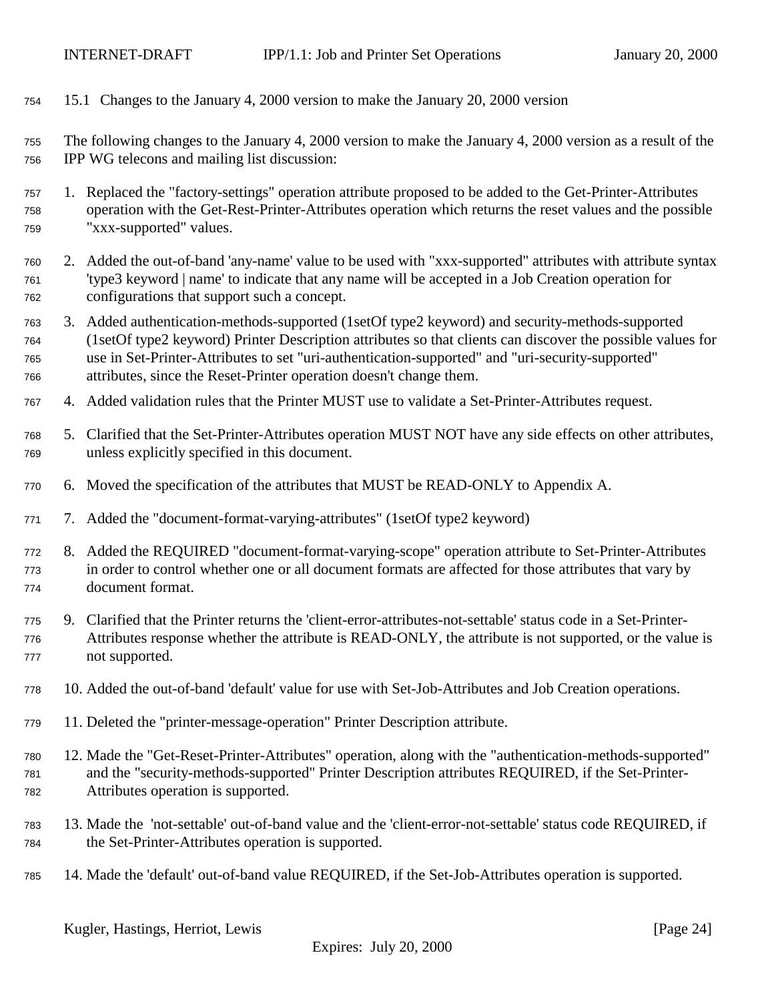<span id="page-23-0"></span>

| 754                      | 15.1 Changes to the January 4, 2000 version to make the January 20, 2000 version                                                                                                                                                                                                                                                                                                        |  |
|--------------------------|-----------------------------------------------------------------------------------------------------------------------------------------------------------------------------------------------------------------------------------------------------------------------------------------------------------------------------------------------------------------------------------------|--|
| 755<br>756               | The following changes to the January 4, 2000 version to make the January 4, 2000 version as a result of the<br>IPP WG telecons and mailing list discussion:                                                                                                                                                                                                                             |  |
| 757<br>758<br>759        | 1. Replaced the "factory-settings" operation attribute proposed to be added to the Get-Printer-Attributes<br>operation with the Get-Rest-Printer-Attributes operation which returns the reset values and the possible<br>"xxx-supported" values.                                                                                                                                        |  |
| 760<br>761<br>762        | 2. Added the out-of-band 'any-name' value to be used with "xxx-supported" attributes with attribute syntax<br>'type3 keyword   name' to indicate that any name will be accepted in a Job Creation operation for<br>configurations that support such a concept.                                                                                                                          |  |
| 763<br>764<br>765<br>766 | 3. Added authentication-methods-supported (1setOf type2 keyword) and security-methods-supported<br>(1setOf type2 keyword) Printer Description attributes so that clients can discover the possible values for<br>use in Set-Printer-Attributes to set "uri-authentication-supported" and "uri-security-supported"<br>attributes, since the Reset-Printer operation doesn't change them. |  |
| 767                      | 4. Added validation rules that the Printer MUST use to validate a Set-Printer-Attributes request.                                                                                                                                                                                                                                                                                       |  |
| 768<br>769               | 5. Clarified that the Set-Printer-Attributes operation MUST NOT have any side effects on other attributes,<br>unless explicitly specified in this document.                                                                                                                                                                                                                             |  |
| 770                      | 6. Moved the specification of the attributes that MUST be READ-ONLY to Appendix A.                                                                                                                                                                                                                                                                                                      |  |
| 771                      | 7. Added the "document-format-varying-attributes" (1setOf type2 keyword)                                                                                                                                                                                                                                                                                                                |  |
| 772<br>773<br>774        | 8. Added the REQUIRED "document-format-varying-scope" operation attribute to Set-Printer-Attributes<br>in order to control whether one or all document formats are affected for those attributes that vary by<br>document format.                                                                                                                                                       |  |
| 775<br>776<br>777        | 9. Clarified that the Printer returns the 'client-error-attributes-not-settable' status code in a Set-Printer-<br>Attributes response whether the attribute is READ-ONLY, the attribute is not supported, or the value is<br>not supported.                                                                                                                                             |  |
| 778                      | 10. Added the out-of-band 'default' value for use with Set-Job-Attributes and Job Creation operations.                                                                                                                                                                                                                                                                                  |  |
| 779                      | 11. Deleted the "printer-message-operation" Printer Description attribute.                                                                                                                                                                                                                                                                                                              |  |
| 780<br>781<br>782        | 12. Made the "Get-Reset-Printer-Attributes" operation, along with the "authentication-methods-supported"<br>and the "security-methods-supported" Printer Description attributes REQUIRED, if the Set-Printer-<br>Attributes operation is supported.                                                                                                                                     |  |
| 783<br>784               | 13. Made the 'not-settable' out-of-band value and the 'client-error-not-settable' status code REQUIRED, if<br>the Set-Printer-Attributes operation is supported.                                                                                                                                                                                                                        |  |
| 785                      | 14. Made the 'default' out-of-band value REQUIRED, if the Set-Job-Attributes operation is supported.                                                                                                                                                                                                                                                                                    |  |
|                          |                                                                                                                                                                                                                                                                                                                                                                                         |  |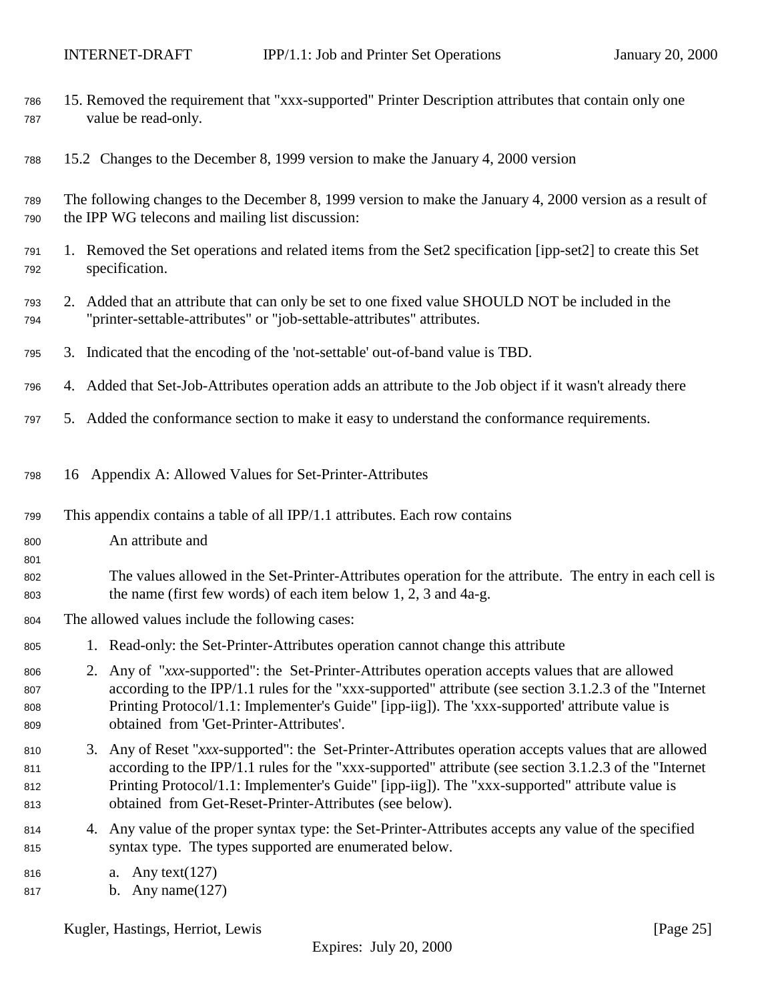<span id="page-24-0"></span>

| 786<br>787               | 15. Removed the requirement that "xxx-supported" Printer Description attributes that contain only one<br>value be read-only.                                                                                                                                                                                                                                                 |
|--------------------------|------------------------------------------------------------------------------------------------------------------------------------------------------------------------------------------------------------------------------------------------------------------------------------------------------------------------------------------------------------------------------|
| 788                      | 15.2 Changes to the December 8, 1999 version to make the January 4, 2000 version                                                                                                                                                                                                                                                                                             |
| 789<br>790               | The following changes to the December 8, 1999 version to make the January 4, 2000 version as a result of<br>the IPP WG telecons and mailing list discussion:                                                                                                                                                                                                                 |
| 791<br>792               | 1. Removed the Set operations and related items from the Set2 specification [ipp-set2] to create this Set<br>specification.                                                                                                                                                                                                                                                  |
| 793<br>794               | 2. Added that an attribute that can only be set to one fixed value SHOULD NOT be included in the<br>"printer-settable-attributes" or "job-settable-attributes" attributes.                                                                                                                                                                                                   |
| 795                      | 3. Indicated that the encoding of the 'not-settable' out-of-band value is TBD.                                                                                                                                                                                                                                                                                               |
| 796                      | 4. Added that Set-Job-Attributes operation adds an attribute to the Job object if it wasn't already there                                                                                                                                                                                                                                                                    |
| 797                      | 5. Added the conformance section to make it easy to understand the conformance requirements.                                                                                                                                                                                                                                                                                 |
| 798                      | 16 Appendix A: Allowed Values for Set-Printer-Attributes                                                                                                                                                                                                                                                                                                                     |
| 799                      | This appendix contains a table of all IPP/1.1 attributes. Each row contains                                                                                                                                                                                                                                                                                                  |
| 800<br>801               | An attribute and                                                                                                                                                                                                                                                                                                                                                             |
| 802<br>803               | The values allowed in the Set-Printer-Attributes operation for the attribute. The entry in each cell is<br>the name (first few words) of each item below $1, 2, 3$ and $4a-g$ .                                                                                                                                                                                              |
| 804                      | The allowed values include the following cases:                                                                                                                                                                                                                                                                                                                              |
| 805                      | 1. Read-only: the Set-Printer-Attributes operation cannot change this attribute                                                                                                                                                                                                                                                                                              |
| 806<br>807<br>808<br>809 | 2. Any of "xxx-supported": the Set-Printer-Attributes operation accepts values that are allowed<br>according to the IPP/1.1 rules for the "xxx-supported" attribute (see section 3.1.2.3 of the "Internet<br>Printing Protocol/1.1: Implementer's Guide" [ipp-iig]). The 'xxx-supported' attribute value is<br>obtained from 'Get-Printer-Attributes'.                       |
| 810<br>811<br>812<br>813 | 3. Any of Reset "xxx-supported": the Set-Printer-Attributes operation accepts values that are allowed<br>according to the IPP/1.1 rules for the "xxx-supported" attribute (see section 3.1.2.3 of the "Internet<br>Printing Protocol/1.1: Implementer's Guide" [ipp-iig]). The "xxx-supported" attribute value is<br>obtained from Get-Reset-Printer-Attributes (see below). |
| 814<br>815               | 4. Any value of the proper syntax type: the Set-Printer-Attributes accepts any value of the specified<br>syntax type. The types supported are enumerated below.                                                                                                                                                                                                              |
| 816<br>817               | Any text( $127$ )<br>a.<br>b. Any name $(127)$                                                                                                                                                                                                                                                                                                                               |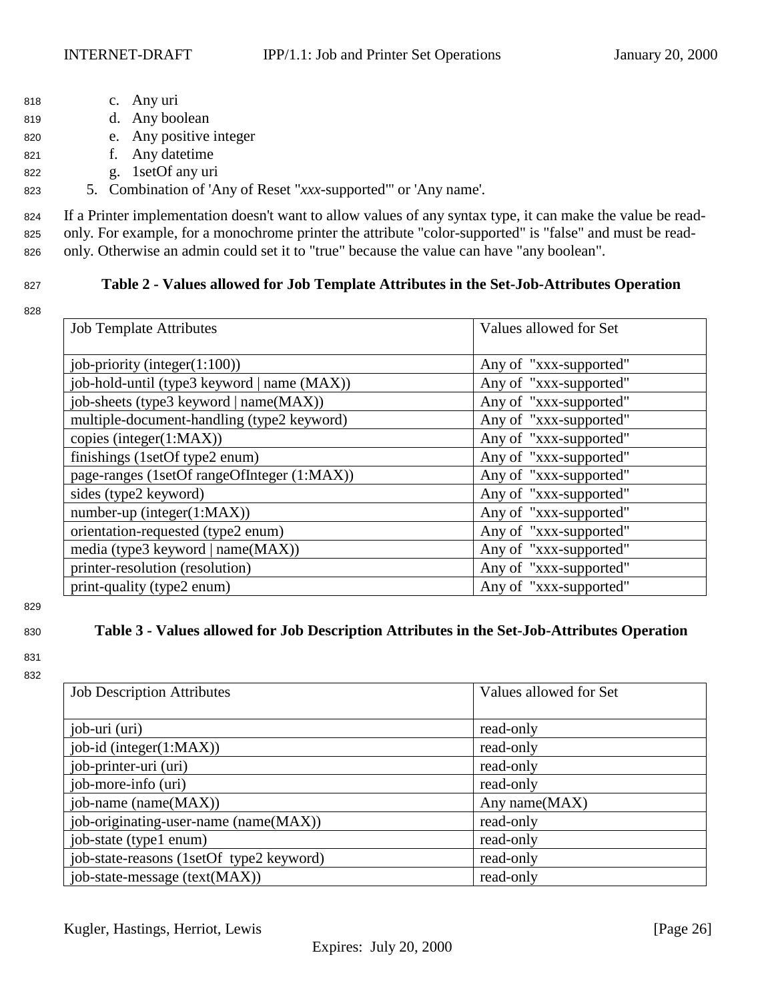- <span id="page-25-0"></span><sup>818</sup> c. Any uri
- <sup>819</sup> d. Any boolean
- <sup>820</sup> e. Any positive integer
- <sup>821</sup> f. Any datetime
- <sup>822</sup> g. 1setOf any uri
- <sup>823</sup> 5. Combination of 'Any of Reset "*xxx*-supported"' or 'Any name'.

<sup>824</sup> If a Printer implementation doesn't want to allow values of any syntax type, it can make the value be read-<sup>825</sup> only. For example, for a monochrome printer the attribute "color-supported" is "false" and must be read-<sup>826</sup> only. Otherwise an admin could set it to "true" because the value can have "any boolean".

- 
- 828

### <sup>827</sup> **Table 2 - Values allowed for Job Template Attributes in the Set-Job-Attributes Operation**

| <b>Job Template Attributes</b>              | Values allowed for Set |
|---------------------------------------------|------------------------|
| job-priority (integer $(1:100)$ )           | Any of "xxx-supported" |
| job-hold-until (type3 keyword   name (MAX)) | Any of "xxx-supported" |
| job-sheets (type3 keyword   name(MAX))      | Any of "xxx-supported" |
| multiple-document-handling (type2 keyword)  | Any of "xxx-supported" |
| copies (integer(1:MAX))                     | Any of "xxx-supported" |
| finishings (1setOf type2 enum)              | Any of "xxx-supported" |
| page-ranges (1setOf rangeOfInteger (1:MAX)) | Any of "xxx-supported" |
| sides (type2 keyword)                       | Any of "xxx-supported" |
| $number-up (integer(1:MAX))$                | Any of "xxx-supported" |
| orientation-requested (type2 enum)          | Any of "xxx-supported" |
| media (type3 keyword   name(MAX))           | Any of "xxx-supported" |
| printer-resolution (resolution)             | Any of "xxx-supported" |
| print-quality (type2 enum)                  | Any of "xxx-supported" |

829

831 832

# <sup>830</sup> **Table 3 - Values allowed for Job Description Attributes in the Set-Job-Attributes Operation**

| <b>Job Description Attributes</b> | Values allowed for Set |
|-----------------------------------|------------------------|
|                                   |                        |
| job-uri (uri)                     | read-only              |
| job-id (integer(1:MAX))           | read-only              |
| job-printer-uri (uri)             | read-only              |
| job-more-info (uri)               | read-only              |
|                                   |                        |

| job-uri (uri)                            | read-only     |
|------------------------------------------|---------------|
| job-id (integer(1:MAX))                  | read-only     |
| job-printer-uri (uri)                    | read-only     |
| job-more-info (uri)                      | read-only     |
| job-name (name(MAX))                     | Any name(MAX) |
| job-originating-user-name (name(MAX))    | read-only     |
| job-state (type1 enum)                   | read-only     |
| job-state-reasons (1setOf type2 keyword) | read-only     |
| job-state-message (text(MAX))            | read-only     |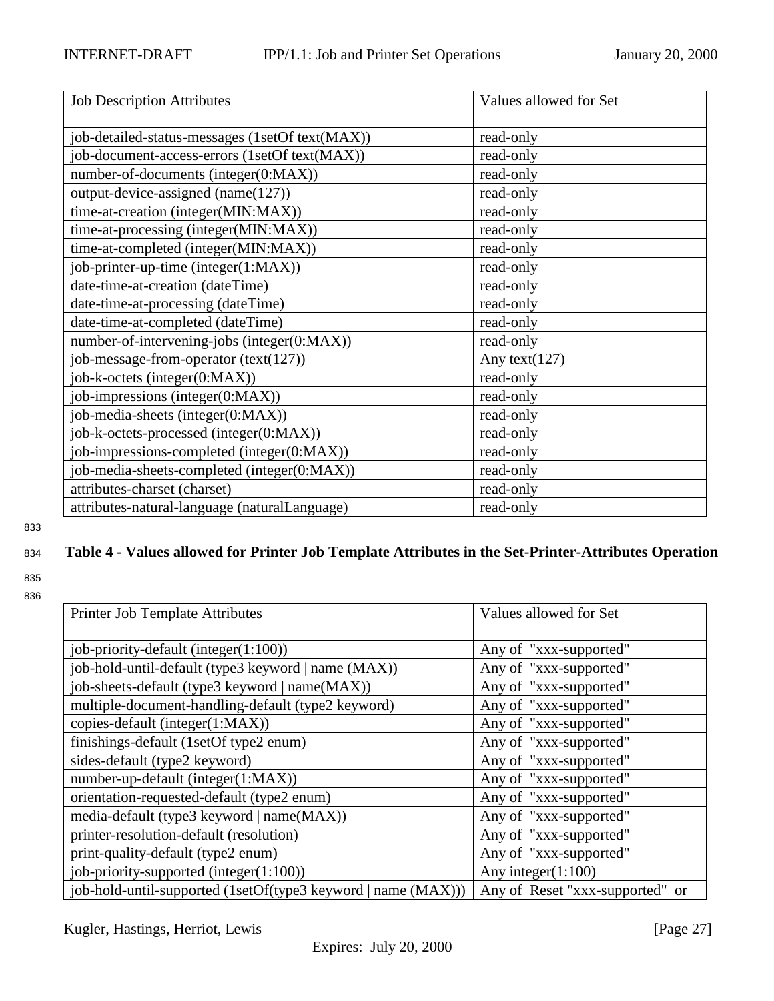<span id="page-26-0"></span>

| <b>Job Description Attributes</b>               | Values allowed for Set |
|-------------------------------------------------|------------------------|
| job-detailed-status-messages (1setOf text(MAX)) | read-only              |
| job-document-access-errors (1setOf text(MAX))   | read-only              |
| number-of-documents (integer(0:MAX))            | read-only              |
| output-device-assigned (name(127))              | read-only              |
| time-at-creation (integer(MIN:MAX))             | read-only              |
| time-at-processing (integer(MIN:MAX))           | read-only              |
| time-at-completed (integer(MIN:MAX))            | read-only              |
| job-printer-up-time (integer(1:MAX))            | read-only              |
| date-time-at-creation (dateTime)                | read-only              |
| date-time-at-processing (dateTime)              | read-only              |
| date-time-at-completed (dateTime)               | read-only              |
| number-of-intervening-jobs (integer(0:MAX))     | read-only              |
| job-message-from-operator (text(127))           | Any text $(127)$       |
| job-k-octets (integer(0:MAX))                   | read-only              |
| job-impressions (integer(0:MAX))                | read-only              |
| job-media-sheets (integer(0:MAX))               | read-only              |
| job-k-octets-processed (integer(0:MAX))         | read-only              |
| job-impressions-completed (integer(0:MAX))      | read-only              |
| job-media-sheets-completed (integer(0:MAX))     | read-only              |
| attributes-charset (charset)                    | read-only              |
| attributes-natural-language (naturalLanguage)   | read-only              |

# <sup>834</sup> **Table 4 - Values allowed for Printer Job Template Attributes in the Set-Printer-Attributes Operation**

| Printer Job Template Attributes                               | Values allowed for Set          |
|---------------------------------------------------------------|---------------------------------|
| job-priority-default (integer $(1:100)$ )                     | Any of "xxx-supported"          |
| job-hold-until-default (type3 keyword   name (MAX))           | Any of "xxx-supported"          |
| job-sheets-default (type3 keyword   name(MAX))                | Any of "xxx-supported"          |
| multiple-document-handling-default (type2 keyword)            | Any of "xxx-supported"          |
| copies-default (integer(1:MAX))                               | Any of "xxx-supported"          |
| finishings-default (1setOf type2 enum)                        | Any of "xxx-supported"          |
| sides-default (type2 keyword)                                 | Any of "xxx-supported"          |
| number-up-default (integer(1:MAX))                            | Any of "xxx-supported"          |
| orientation-requested-default (type2 enum)                    | Any of "xxx-supported"          |
| media-default (type3 keyword   name(MAX))                     | Any of "xxx-supported"          |
| printer-resolution-default (resolution)                       | Any of "xxx-supported"          |
| print-quality-default (type2 enum)                            | Any of "xxx-supported"          |
| job-priority-supported (integer(1:100))                       | Any integer $(1:100)$           |
| job-hold-until-supported (1setOf(type3 keyword   name (MAX))) | Any of Reset "xxx-supported" or |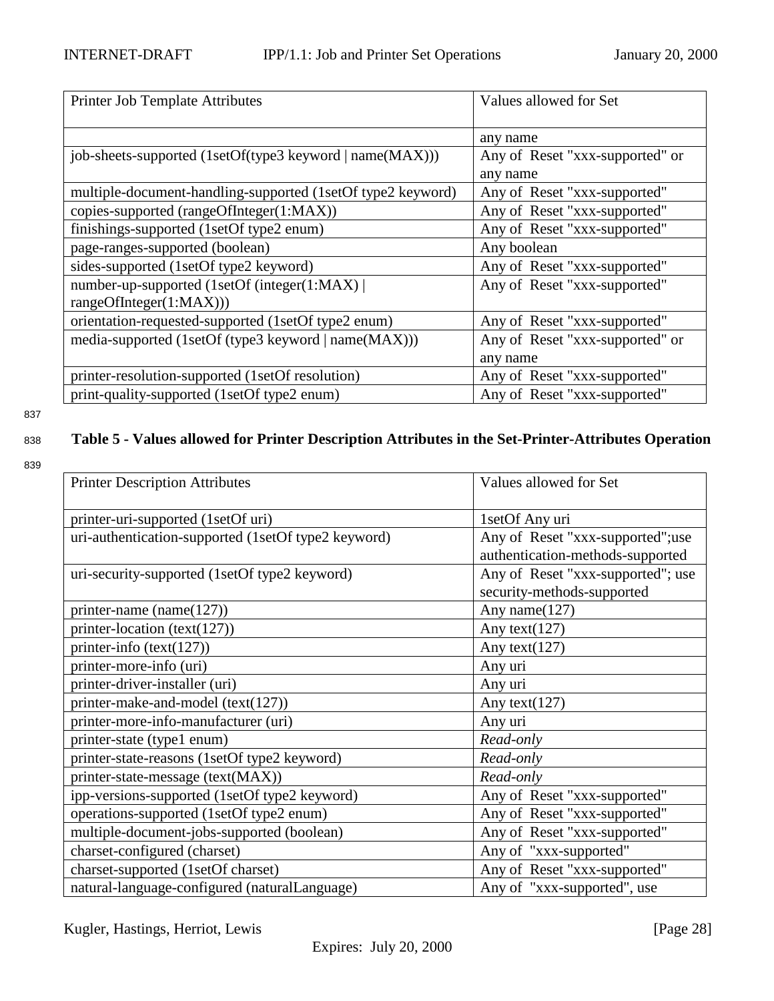<span id="page-27-0"></span>

| Printer Job Template Attributes                             | Values allowed for Set          |
|-------------------------------------------------------------|---------------------------------|
|                                                             | any name                        |
| job-sheets-supported (1setOf(type3 keyword   name(MAX)))    | Any of Reset "xxx-supported" or |
|                                                             | any name                        |
| multiple-document-handling-supported (1setOf type2 keyword) | Any of Reset "xxx-supported"    |
| copies-supported (rangeOfInteger(1:MAX))                    | Any of Reset "xxx-supported"    |
| finishings-supported (1setOf type2 enum)                    | Any of Reset "xxx-supported"    |
| page-ranges-supported (boolean)                             | Any boolean                     |
| sides-supported (1setOf type2 keyword)                      | Any of Reset "xxx-supported"    |
| number-up-supported (1setOf (integer(1:MAX))                | Any of Reset "xxx-supported"    |
| rangeOfInteger(1:MAX))                                      |                                 |
| orientation-requested-supported (1setOf type2 enum)         | Any of Reset "xxx-supported"    |
| media-supported (1setOf (type3 keyword   name(MAX)))        | Any of Reset "xxx-supported" or |
|                                                             | any name                        |
| printer-resolution-supported (1setOf resolution)            | Any of Reset "xxx-supported"    |
| print-quality-supported (1setOf type2 enum)                 | Any of Reset "xxx-supported"    |

# <sup>838</sup> **Table 5 - Values allowed for Printer Description Attributes in the Set-Printer-Attributes Operation**

| <b>Printer Description Attributes</b>               | Values allowed for Set            |
|-----------------------------------------------------|-----------------------------------|
| printer-uri-supported (1setOf uri)                  | 1setOf Any uri                    |
| uri-authentication-supported (1setOf type2 keyword) | Any of Reset "xxx-supported";use  |
|                                                     | authentication-methods-supported  |
| uri-security-supported (1setOf type2 keyword)       | Any of Reset "xxx-supported"; use |
|                                                     | security-methods-supported        |
| printer-name $(name(127))$                          | Any name $(127)$                  |
| printer-location (text(127))                        | Any text $(127)$                  |
| printer-info $(text(127))$                          | Any text $(127)$                  |
| printer-more-info (uri)                             | Any uri                           |
| printer-driver-installer (uri)                      | Any uri                           |
| printer-make-and-model (text(127))                  | Any text $(127)$                  |
| printer-more-info-manufacturer (uri)                | Any uri                           |
| printer-state (type1 enum)                          | Read-only                         |
| printer-state-reasons (1setOf type2 keyword)        | Read-only                         |
| printer-state-message (text(MAX))                   | Read-only                         |
| ipp-versions-supported (1setOf type2 keyword)       | Any of Reset "xxx-supported"      |
| operations-supported (1setOf type2 enum)            | Any of Reset "xxx-supported"      |
| multiple-document-jobs-supported (boolean)          | Any of Reset "xxx-supported"      |
| charset-configured (charset)                        | Any of "xxx-supported"            |
| charset-supported (1setOf charset)                  | Any of Reset "xxx-supported"      |
| natural-language-configured (naturalLanguage)       | Any of "xxx-supported", use       |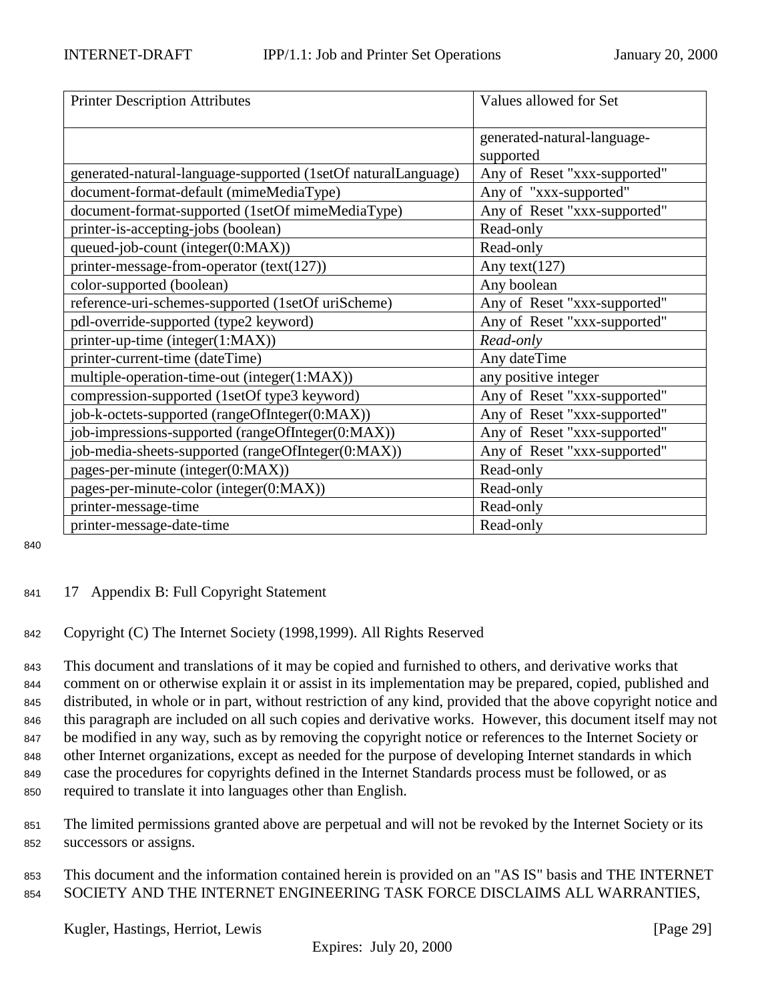| <b>Printer Description Attributes</b>                         | Values allowed for Set                   |
|---------------------------------------------------------------|------------------------------------------|
|                                                               | generated-natural-language-<br>supported |
| generated-natural-language-supported (1setOf naturalLanguage) | Any of Reset "xxx-supported"             |
| document-format-default (mimeMediaType)                       | Any of "xxx-supported"                   |
| document-format-supported (1setOf mimeMediaType)              | Any of Reset "xxx-supported"             |
| printer-is-accepting-jobs (boolean)                           | Read-only                                |
| queued-job-count (integer(0:MAX))                             | Read-only                                |
| printer-message-from-operator $(text(127))$                   | Any text $(127)$                         |
| color-supported (boolean)                                     | Any boolean                              |
| reference-uri-schemes-supported (1setOf uriScheme)            | Any of Reset "xxx-supported"             |
| pdl-override-supported (type2 keyword)                        | Any of Reset "xxx-supported"             |
| printer-up-time (integer(1:MAX))                              | Read-only                                |
| printer-current-time (dateTime)                               | Any dateTime                             |
| multiple-operation-time-out (integer(1:MAX))                  | any positive integer                     |
| compression-supported (1setOf type3 keyword)                  | Any of Reset "xxx-supported"             |
| job-k-octets-supported (rangeOfInteger(0:MAX))                | Any of Reset "xxx-supported"             |
| job-impressions-supported (rangeOfInteger(0:MAX))             | Any of Reset "xxx-supported"             |
| job-media-sheets-supported (rangeOfInteger(0:MAX))            | Any of Reset "xxx-supported"             |
| pages-per-minute (integer(0:MAX))                             | Read-only                                |
| pages-per-minute-color (integer(0:MAX))                       | Read-only                                |
| printer-message-time                                          | Read-only                                |
| printer-message-date-time                                     | Read-only                                |

### <sup>841</sup> 17 Appendix B: Full Copyright Statement

### <sup>842</sup> Copyright (C) The Internet Society (1998,1999). All Rights Reserved

 This document and translations of it may be copied and furnished to others, and derivative works that comment on or otherwise explain it or assist in its implementation may be prepared, copied, published and distributed, in whole or in part, without restriction of any kind, provided that the above copyright notice and this paragraph are included on all such copies and derivative works. However, this document itself may not be modified in any way, such as by removing the copyright notice or references to the Internet Society or other Internet organizations, except as needed for the purpose of developing Internet standards in which case the procedures for copyrights defined in the Internet Standards process must be followed, or as required to translate it into languages other than English.

- <sup>851</sup> The limited permissions granted above are perpetual and will not be revoked by the Internet Society or its <sup>852</sup> successors or assigns.
- <sup>853</sup> This document and the information contained herein is provided on an "AS IS" basis and THE INTERNET <sup>854</sup> SOCIETY AND THE INTERNET ENGINEERING TASK FORCE DISCLAIMS ALL WARRANTIES,